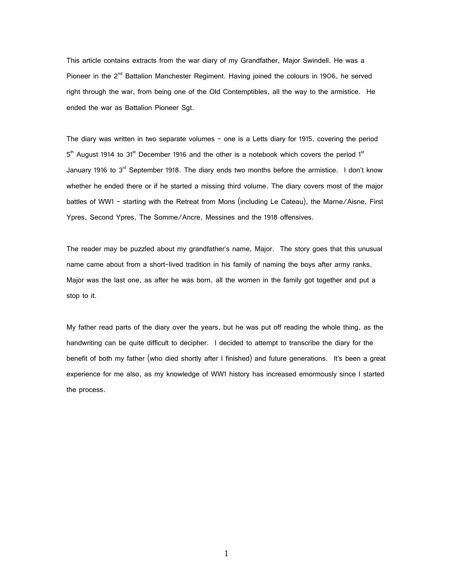This article contains extracts from the war diary of my Grandfather, Major Swindell. He was a Pioneer in the  $2^{nd}$  Battalion Manchester Regiment. Having joined the colours in 1906, he served right through the war, from being one of the Old Contemptibles, all the way to the armistice. He ended the war as Battalion Pioneer Sgt.

The diary was written in two separate volumes – one is a Letts diary for 1915, covering the period 5<sup>th</sup> August 1914 to 31<sup>st</sup> December 1916 and the other is a notebook which covers the period 1<sup>st</sup> January 1916 to 3<sup>rd</sup> September 1918. The diary ends two months before the armistice. I don't know whether he ended there or if he started a missing third volume. The diary covers most of the major battles of WW1 – starting with the Retreat from Mons (including Le Cateau), the Marne/Aisne, First Ypres, Second Ypres, The Somme/Ancre, Messines and the 1918 offensives.

The reader may be puzzled about my grandfather's name, Major. The story goes that this unusual name came about from a short-lived tradition in his family of naming the boys after army ranks. Major was the last one, as after he was born, all the women in the family got together and put a stop to it.

My father read parts of the diary over the years, but he was put off reading the whole thing, as the handwriting can be quite difficult to decipher. I decided to attempt to transcribe the diary for the benefit of both my father (who died shortly after I finished) and future generations. It's been a great experience for me also, as my knowledge of WW1 history has increased emormously since I started the process.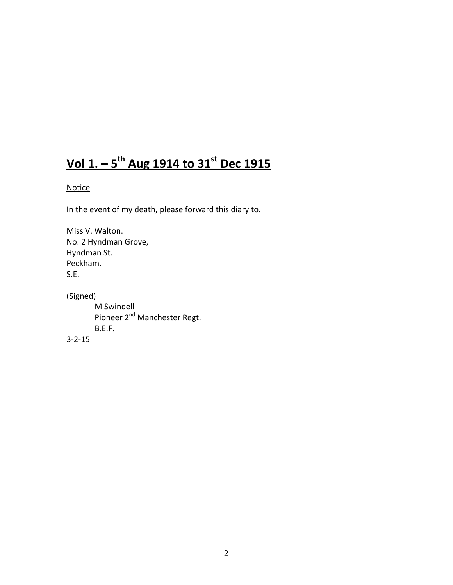# **Vol 1. – 5 th Aug 1914 to 31st Dec 1915**

# **Notice**

In the event of my death, please forward this diary to.

Miss V. Walton. No. 2 Hyndman Grove, Hyndman St. Peckham. S.E.

(Signed) M Swindell Pioneer 2<sup>nd</sup> Manchester Regt. B.E.F. 3-2-15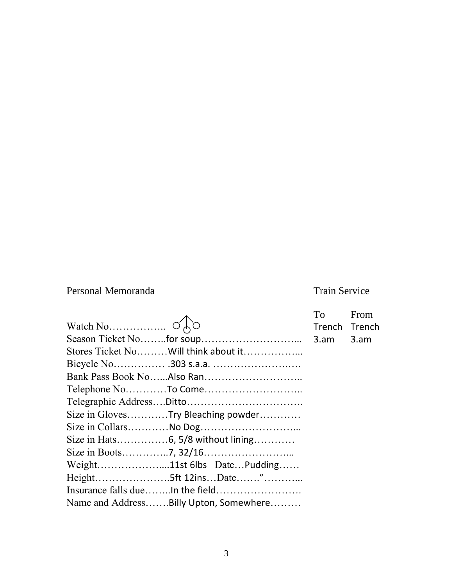# Personal Memoranda Train Service

|                                        | To            | From |
|----------------------------------------|---------------|------|
|                                        | Trench Trench |      |
|                                        |               | 3.am |
| Stores Ticket No Will think about it   |               |      |
|                                        |               |      |
|                                        |               |      |
|                                        |               |      |
|                                        |               |      |
| Size in GlovesTry Bleaching powder     |               |      |
|                                        |               |      |
|                                        |               |      |
|                                        |               |      |
| Weight11st 6lbs DatePudding            |               |      |
| Height5ft 12insDate"                   |               |      |
|                                        |               |      |
| Name and AddressBilly Upton, Somewhere |               |      |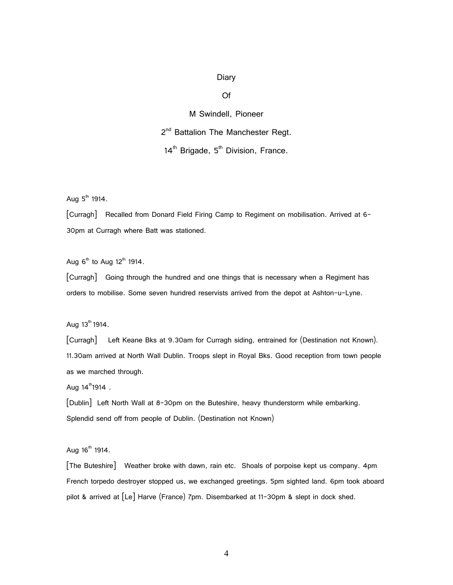# Diary

#### Of

M Swindell, Pioneer

2<sup>nd</sup> Battalion The Manchester Regt.

 $14<sup>th</sup>$  Brigade,  $5<sup>th</sup>$  Division, France.

Aug  $5^{th}$  1914.

[Curragh] Recalled from Donard Field Firing Camp to Regiment on mobilisation. Arrived at 6- 30pm at Curragh where Batt was stationed.

Aug  $6<sup>th</sup>$  to Aug  $12<sup>th</sup>$  1914.

[Curragh] Going through the hundred and one things that is necessary when a Regiment has orders to mobilise. Some seven hundred reservists arrived from the depot at Ashton-u-Lyne.

Aug  $13^{th}$  1914.

[Curragh] Left Keane Bks at 9.30am for Curragh siding, entrained for (Destination not Known). 11.30am arrived at North Wall Dublin. Troops slept in Royal Bks. Good reception from town people as we marched through.

Aug  $14^{\text{th}}1914$ .

[Dublin] Left North Wall at 8-30pm on the Buteshire, heavy thunderstorm while embarking. Splendid send off from people of Dublin. (Destination not Known)

Aug  $16^{th}$  1914.

[The Buteshire] Weather broke with dawn, rain etc. Shoals of porpoise kept us company. 4pm French torpedo destroyer stopped us, we exchanged greetings. 5pm sighted land. 6pm took aboard pilot & arrived at [Le] Harve (France) 7pm. Disembarked at 11-30pm & slept in dock shed.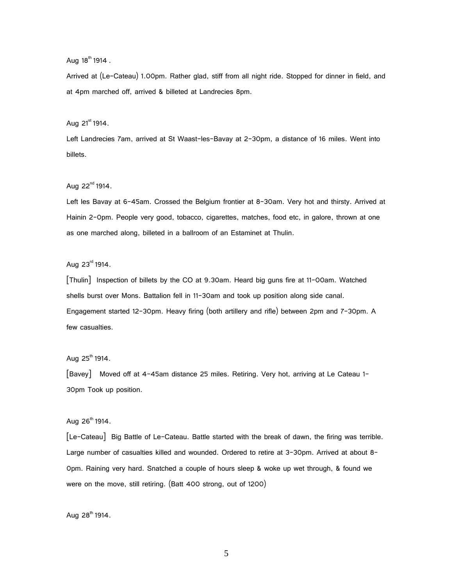Aug  $18^{th}$  1914.

Arrived at (Le-Cateau) 1.00pm. Rather glad, stiff from all night ride. Stopped for dinner in field, and at 4pm marched off, arrived & billeted at Landrecies 8pm.

Aug  $21^{\text{st}}$  1914.

Left Landrecies 7am, arrived at St Waast-les-Bavay at 2-30pm, a distance of 16 miles. Went into billets.

Aug  $22^{nd}$  1914.

Left les Bavay at 6-45am. Crossed the Belgium frontier at 8-30am. Very hot and thirsty. Arrived at Hainin 2-0pm. People very good, tobacco, cigarettes, matches, food etc, in galore, thrown at one as one marched along, billeted in a ballroom of an Estaminet at Thulin.

Aug  $23^{rd}$  1914.

[Thulin] Inspection of billets by the CO at 9.30am. Heard big guns fire at 11-00am. Watched shells burst over Mons. Battalion fell in 11-30am and took up position along side canal. Engagement started 12-30pm. Heavy firing (both artillery and rifle) between 2pm and 7-30pm. A few casualties.

Aug  $25^{th}$  1914.

[Bavey] Moved off at 4-45am distance 25 miles. Retiring. Very hot, arriving at Le Cateau 1- 30pm Took up position.

Aug  $26^{th}$  1914.

[Le-Cateau] Big Battle of Le-Cateau. Battle started with the break of dawn, the firing was terrible. Large number of casualties killed and wounded. Ordered to retire at 3-30pm. Arrived at about 8-0pm. Raining very hard. Snatched a couple of hours sleep & woke up wet through, & found we were on the move, still retiring. (Batt 400 strong, out of 1200)

Aug  $28^{th}$  1914.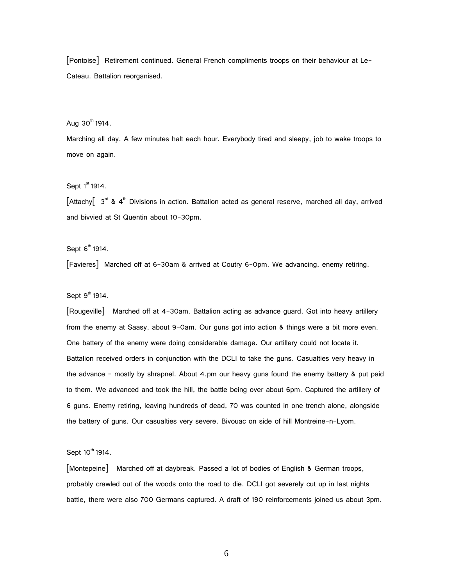[Pontoise] Retirement continued. General French compliments troops on their behaviour at Le-Cateau. Battalion reorganised.

Aug  $30^{th}$  1914.

Marching all day. A few minutes halt each hour. Everybody tired and sleepy, job to wake troops to move on again.

Sept  $1<sup>st</sup>$  1914.

 $[Attachy[ 3<sup>rd</sup> & 4<sup>th</sup> Divisions in action. Battalion acted as general reserve, marched all day, arrived$ and bivvied at St Quentin about 10-30pm.

Sept  $6<sup>th</sup>$  1914.

[Favieres] Marched off at 6-30am & arrived at Coutry 6-0pm. We advancing, enemy retiring.

Sept  $9<sup>th</sup>$  1914.

[Rougeville] Marched off at 4-30am. Battalion acting as advance guard. Got into heavy artillery from the enemy at Saasy, about 9-0am. Our guns got into action & things were a bit more even. One battery of the enemy were doing considerable damage. Our artillery could not locate it. Battalion received orders in conjunction with the DCLI to take the guns. Casualties very heavy in the advance – mostly by shrapnel. About 4.pm our heavy guns found the enemy battery & put paid to them. We advanced and took the hill, the battle being over about 6pm. Captured the artillery of 6 guns. Enemy retiring, leaving hundreds of dead, 70 was counted in one trench alone, alongside the battery of guns. Our casualties very severe. Bivouac on side of hill Montreine-n-Lyom.

Sept  $10^{th}$  1914.

[Montepeine] Marched off at daybreak. Passed a lot of bodies of English & German troops, probably crawled out of the woods onto the road to die. DCLI got severely cut up in last nights battle, there were also 700 Germans captured. A draft of 190 reinforcements joined us about 3pm.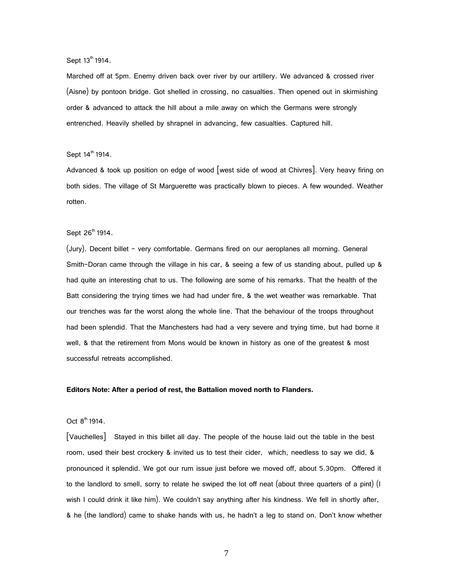Sept 13<sup>th</sup> 1914.

Marched off at 5pm. Enemy driven back over river by our artillery. We advanced & crossed river (Aisne) by pontoon bridge. Got shelled in crossing, no casualties. Then opened out in skirmishing order & advanced to attack the hill about a mile away on which the Germans were strongly entrenched. Heavily shelled by shrapnel in advancing, few casualties. Captured hill.

#### Sept  $14^{\text{th}}$  1914.

Advanced & took up position on edge of wood [west side of wood at Chivres]. Very heavy firing on both sides. The village of St Marguerette was practically blown to pieces. A few wounded. Weather rotten.

# Sept 26<sup>th</sup> 1914.

(Jury). Decent billet – very comfortable. Germans fired on our aeroplanes all morning. General Smith-Doran came through the village in his car, & seeing a few of us standing about, pulled up & had quite an interesting chat to us. The following are some of his remarks. That the health of the Batt considering the trying times we had had under fire, & the wet weather was remarkable. That our trenches was far the worst along the whole line. That the behaviour of the troops throughout had been splendid. That the Manchesters had had a very severe and trying time, but had borne it well, & that the retirement from Mons would be known in history as one of the greatest & most successful retreats accomplished.

#### **Editors Note: After a period of rest, the Battalion moved north to Flanders.**

#### Oct  $8^{th}$  1914.

[Vauchelles] Stayed in this billet all day. The people of the house laid out the table in the best room, used their best crockery & invited us to test their cider, which, needless to say we did, & pronounced it splendid. We got our rum issue just before we moved off, about 5.30pm. Offered it to the landlord to smell, sorry to relate he swiped the lot off neat (about three quarters of a pint) (I wish I could drink it like him). We couldn't say anything after his kindness. We fell in shortly after, & he (the landlord) came to shake hands with us, he hadn't a leg to stand on. Don't know whether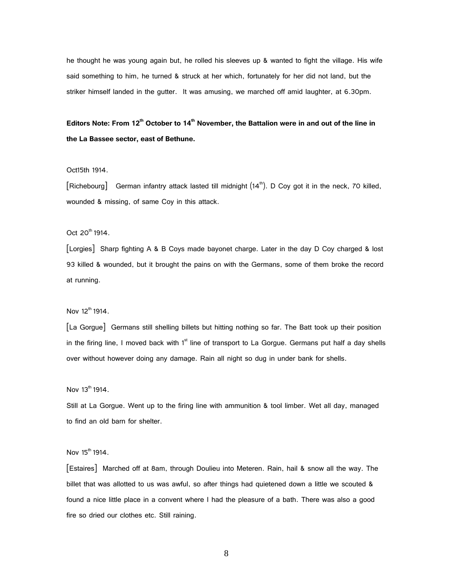he thought he was young again but, he rolled his sleeves up & wanted to fight the village. His wife said something to him, he turned & struck at her which, fortunately for her did not land, but the striker himself landed in the gutter. It was amusing, we marched off amid laughter, at 6.30pm.

# **Editors Note: From 12th October to 14th November, the Battalion were in and out of the line in the La Bassee sector, east of Bethune.**

#### Oct15th 1914.

 $\lceil$ Richebourg $\rceil$  German infantry attack lasted till midnight  $(14<sup>th</sup>)$ . D Coy got it in the neck, 70 killed, wounded & missing, of same Coy in this attack.

#### Oct 20<sup>th</sup> 1914.

[Lorgies] Sharp fighting A & B Coys made bayonet charge. Later in the day D Coy charged & lost 93 killed & wounded, but it brought the pains on with the Germans, some of them broke the record at running.

#### Nov  $12^{th}$  1914.

[La Gorgue] Germans still shelling billets but hitting nothing so far. The Batt took up their position in the firing line, I moved back with 1<sup>st</sup> line of transport to La Gorgue. Germans put half a day shells over without however doing any damage. Rain all night so dug in under bank for shells.

#### Nov  $13^{th}$  1914.

Still at La Gorgue. Went up to the firing line with ammunition & tool limber. Wet all day, managed to find an old barn for shelter.

#### Nov  $15^{th}$  1914.

[Estaires] Marched off at 8am, through Doulieu into Meteren. Rain, hail & snow all the way. The billet that was allotted to us was awful, so after things had quietened down a little we scouted & found a nice little place in a convent where I had the pleasure of a bath. There was also a good fire so dried our clothes etc. Still raining.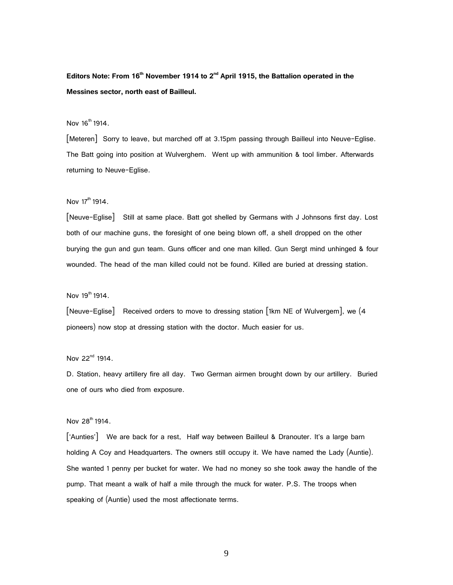**Editors Note: From 16th November 1914 to 2nd April 1915, the Battalion operated in the Messines sector, north east of Bailleul.**

# Nov 16<sup>th</sup> 1914.

[Meteren] Sorry to leave, but marched off at 3.15pm passing through Bailleul into Neuve-Eglise. The Batt going into position at Wulverghem. Went up with ammunition & tool limber. Afterwards returning to Neuve-Eglise.

Nov 17<sup>th</sup> 1914

[Neuve-Eglise] Still at same place. Batt got shelled by Germans with J Johnsons first day. Lost both of our machine guns, the foresight of one being blown off, a shell dropped on the other burying the gun and gun team. Guns officer and one man killed. Gun Sergt mind unhinged & four wounded. The head of the man killed could not be found. Killed are buried at dressing station.

Nov  $19^{th}$  1914.

[Neuve-Eglise] Received orders to move to dressing station [1km NE of Wulvergem], we (4 pioneers) now stop at dressing station with the doctor. Much easier for us.

Nov 22<sup>nd</sup> 1914.

D. Station, heavy artillery fire all day. Two German airmen brought down by our artillery. Buried one of ours who died from exposure.

Nov  $28^{th}$  1914.

['Aunties'] We are back for a rest, Half way between Bailleul & Dranouter. It's a large barn holding A Coy and Headquarters. The owners still occupy it. We have named the Lady (Auntie). She wanted 1 penny per bucket for water. We had no money so she took away the handle of the pump. That meant a walk of half a mile through the muck for water. P.S. The troops when speaking of (Auntie) used the most affectionate terms.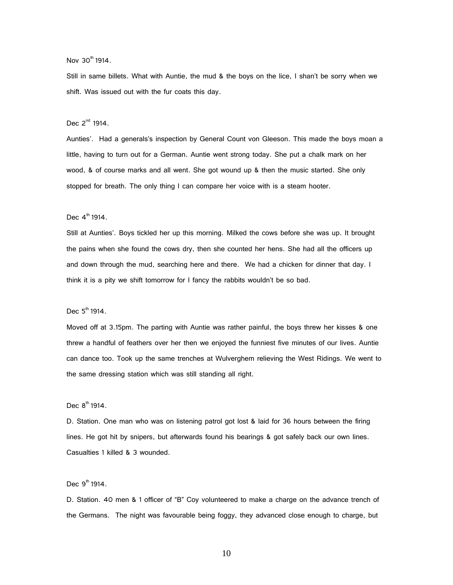Nov 30<sup>th</sup> 1914.

Still in same billets. What with Auntie, the mud & the boys on the lice, I shan't be sorry when we shift. Was issued out with the fur coats this day.

## Dec  $2^{nd}$  1914.

Aunties'. Had a generals's inspection by General Count von Gleeson. This made the boys moan a little, having to turn out for a German. Auntie went strong today. She put a chalk mark on her wood, & of course marks and all went. She got wound up & then the music started. She only stopped for breath. The only thing I can compare her voice with is a steam hooter.

#### Dec  $4^{\text{th}}$  1914.

Still at Aunties'. Boys tickled her up this morning. Milked the cows before she was up. It brought the pains when she found the cows dry, then she counted her hens. She had all the officers up and down through the mud, searching here and there. We had a chicken for dinner that day. I think it is a pity we shift tomorrow for I fancy the rabbits wouldn't be so bad.

Dec  $5^{th}$  1914.

Moved off at 3.15pm. The parting with Auntie was rather painful, the boys threw her kisses & one threw a handful of feathers over her then we enjoyed the funniest five minutes of our lives. Auntie can dance too. Took up the same trenches at Wulverghem relieving the West Ridings. We went to the same dressing station which was still standing all right.

Dec  $8^{th}$  1914.

D. Station. One man who was on listening patrol got lost & laid for 36 hours between the firing lines. He got hit by snipers, but afterwards found his bearings & got safely back our own lines. Casualties 1 killed & 3 wounded.

Dec  $9^{th}$  1914.

D. Station. 40 men & 1 officer of "B" Coy volunteered to make a charge on the advance trench of the Germans. The night was favourable being foggy, they advanced close enough to charge, but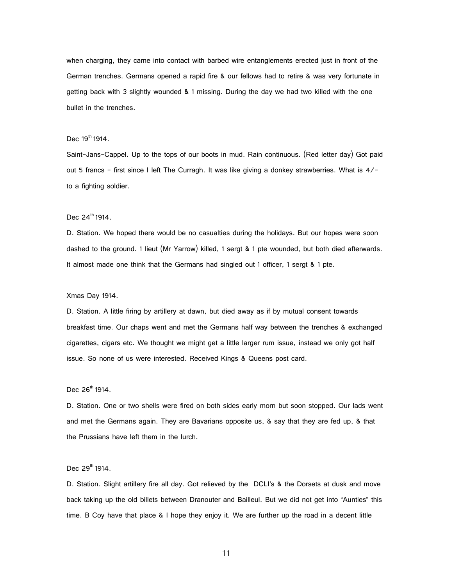when charging, they came into contact with barbed wire entanglements erected just in front of the German trenches. Germans opened a rapid fire & our fellows had to retire & was very fortunate in getting back with 3 slightly wounded & 1 missing. During the day we had two killed with the one bullet in the trenches.

#### Dec  $19^{th}$  1914.

Saint-Jans-Cappel. Up to the tops of our boots in mud. Rain continuous. (Red letter day) Got paid out 5 francs – first since I left The Curragh. It was like giving a donkey strawberries. What is 4/ to a fighting soldier.

#### Dec  $24^{th}$  1914.

D. Station. We hoped there would be no casualties during the holidays. But our hopes were soon dashed to the ground. 1 lieut (Mr Yarrow) killed, 1 sergt & 1 pte wounded, but both died afterwards. It almost made one think that the Germans had singled out 1 officer, 1 sergt & 1 pte.

#### Xmas Day 1914.

D. Station. A little firing by artillery at dawn, but died away as if by mutual consent towards breakfast time. Our chaps went and met the Germans half way between the trenches & exchanged cigarettes, cigars etc. We thought we might get a little larger rum issue, instead we only got half issue. So none of us were interested. Received Kings & Queens post card.

#### Dec  $26^{th}$  1914.

D. Station. One or two shells were fired on both sides early morn but soon stopped. Our lads went and met the Germans again. They are Bavarians opposite us, & say that they are fed up, & that the Prussians have left them in the lurch.

#### Dec  $29^{th}$  1914.

D. Station. Slight artillery fire all day. Got relieved by the DCLI's & the Dorsets at dusk and move back taking up the old billets between Dranouter and Bailleul. But we did not get into "Aunties" this time. B Coy have that place & I hope they enjoy it. We are further up the road in a decent little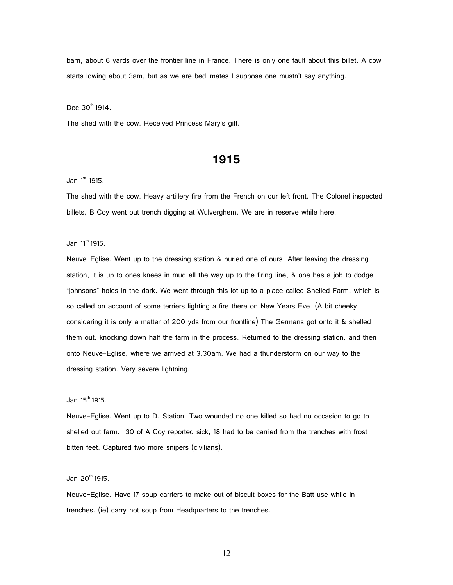barn, about 6 yards over the frontier line in France. There is only one fault about this billet. A cow starts lowing about 3am, but as we are bed-mates I suppose one mustn't say anything.

Dec  $30^{th}$  1914.

The shed with the cow. Received Princess Mary's gift.

# **1915**

Jan  $1<sup>st</sup>$  1915.

The shed with the cow. Heavy artillery fire from the French on our left front. The Colonel inspected billets, B Coy went out trench digging at Wulverghem. We are in reserve while here.

Jan 11<sup>th</sup> 1915.

Neuve-Eglise. Went up to the dressing station & buried one of ours. After leaving the dressing station, it is up to ones knees in mud all the way up to the firing line, & one has a job to dodge "johnsons" holes in the dark. We went through this lot up to a place called Shelled Farm, which is so called on account of some terriers lighting a fire there on New Years Eve. (A bit cheeky considering it is only a matter of 200 yds from our frontline) The Germans got onto it & shelled them out, knocking down half the farm in the process. Returned to the dressing station, and then onto Neuve-Eglise, where we arrived at 3.30am. We had a thunderstorm on our way to the dressing station. Very severe lightning.

 $Jan 15<sup>th</sup> 1915.$ 

Neuve-Eglise. Went up to D. Station. Two wounded no one killed so had no occasion to go to shelled out farm. 30 of A Coy reported sick, 18 had to be carried from the trenches with frost bitten feet. Captured two more snipers (civilians).

Jan 20<sup>th</sup> 1915.

Neuve-Eglise. Have 17 soup carriers to make out of biscuit boxes for the Batt use while in trenches. (ie) carry hot soup from Headquarters to the trenches.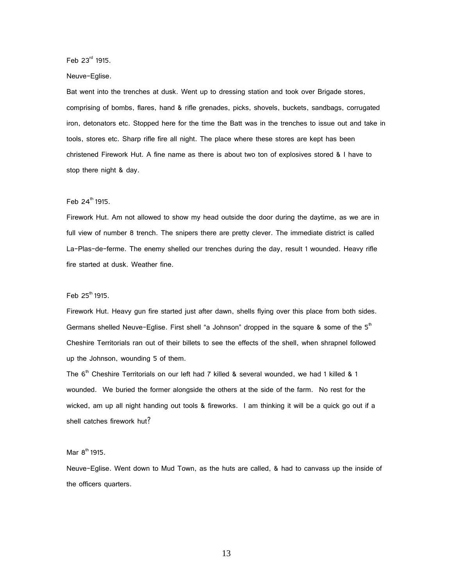Feb 23rd 1915.

#### Neuve-Eglise.

Bat went into the trenches at dusk. Went up to dressing station and took over Brigade stores, comprising of bombs, flares, hand & rifle grenades, picks, shovels, buckets, sandbags, corrugated iron, detonators etc. Stopped here for the time the Batt was in the trenches to issue out and take in tools, stores etc. Sharp rifle fire all night. The place where these stores are kept has been christened Firework Hut. A fine name as there is about two ton of explosives stored & I have to stop there night & day.

#### Feb  $24^{th}$  1915.

Firework Hut. Am not allowed to show my head outside the door during the daytime, as we are in full view of number 8 trench. The snipers there are pretty clever. The immediate district is called La-Plas-de-ferme. The enemy shelled our trenches during the day, result 1 wounded. Heavy rifle fire started at dusk. Weather fine.

#### Feb  $25^{\text{th}}$  1915.

Firework Hut. Heavy gun fire started just after dawn, shells flying over this place from both sides. Germans shelled Neuve-Eglise. First shell "a Johnson" dropped in the square & some of the  $5<sup>th</sup>$ Cheshire Territorials ran out of their billets to see the effects of the shell, when shrapnel followed up the Johnson, wounding 5 of them.

The  $6<sup>th</sup>$  Cheshire Territorials on our left had 7 killed & several wounded, we had 1 killed & 1 wounded. We buried the former alongside the others at the side of the farm. No rest for the wicked, am up all night handing out tools & fireworks. I am thinking it will be a quick go out if a shell catches firework hut?

#### Mar  $8^{th}$  1915.

Neuve-Eglise. Went down to Mud Town, as the huts are called, & had to canvass up the inside of the officers quarters.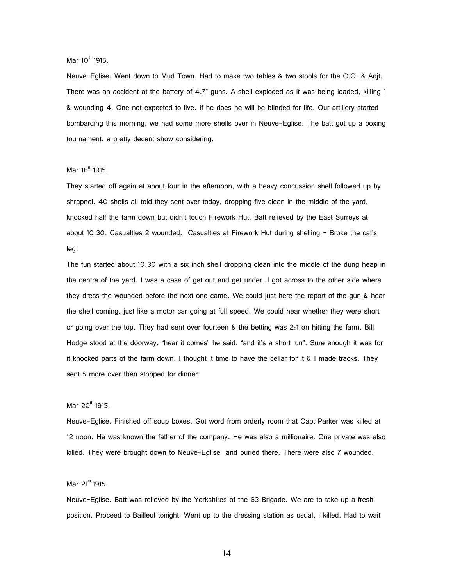Mar  $10^{th}$  1915.

Neuve-Eglise. Went down to Mud Town. Had to make two tables & two stools for the C.O. & Adjt. There was an accident at the battery of 4.7" guns. A shell exploded as it was being loaded, killing 1 & wounding 4. One not expected to live. If he does he will be blinded for life. Our artillery started bombarding this morning, we had some more shells over in Neuve-Eglise. The batt got up a boxing tournament, a pretty decent show considering.

#### Mar  $16^{th}$  1915.

They started off again at about four in the afternoon, with a heavy concussion shell followed up by shrapnel. 40 shells all told they sent over today, dropping five clean in the middle of the yard, knocked half the farm down but didn't touch Firework Hut. Batt relieved by the East Surreys at about 10.30. Casualties 2 wounded. Casualties at Firework Hut during shelling – Broke the cat's leg.

The fun started about 10.30 with a six inch shell dropping clean into the middle of the dung heap in the centre of the yard. I was a case of get out and get under. I got across to the other side where they dress the wounded before the next one came. We could just here the report of the gun & hear the shell coming, just like a motor car going at full speed. We could hear whether they were short or going over the top. They had sent over fourteen & the betting was 2:1 on hitting the farm. Bill Hodge stood at the doorway, "hear it comes" he said, "and it's a short 'un". Sure enough it was for it knocked parts of the farm down. I thought it time to have the cellar for it & I made tracks. They sent 5 more over then stopped for dinner.

#### Mar  $20^{th}$  1915.

Neuve-Eglise. Finished off soup boxes. Got word from orderly room that Capt Parker was killed at 12 noon. He was known the father of the company. He was also a millionaire. One private was also killed. They were brought down to Neuve-Eglise and buried there. There were also 7 wounded.

#### Mar  $21^{st}$  1915.

Neuve-Eglise. Batt was relieved by the Yorkshires of the 63 Brigade. We are to take up a fresh position. Proceed to Bailleul tonight. Went up to the dressing station as usual, I killed. Had to wait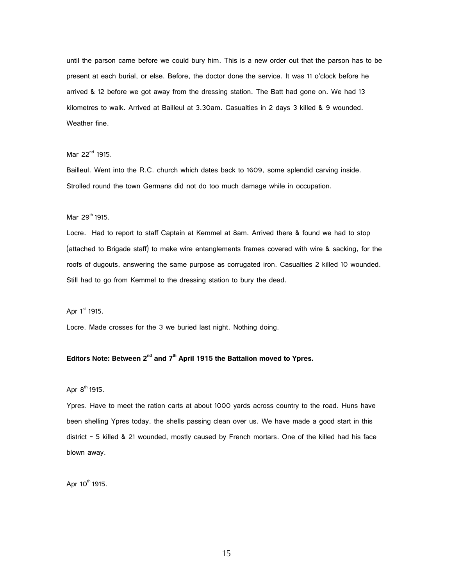until the parson came before we could bury him. This is a new order out that the parson has to be present at each burial, or else. Before, the doctor done the service. It was 11 o'clock before he arrived & 12 before we got away from the dressing station. The Batt had gone on. We had 13 kilometres to walk. Arrived at Bailleul at 3.30am. Casualties in 2 days 3 killed & 9 wounded. Weather fine.

#### Mar  $22^{nd}$  1915.

Bailleul. Went into the R.C. church which dates back to 1609, some splendid carving inside. Strolled round the town Germans did not do too much damage while in occupation.

# Mar 29<sup>th</sup> 1915.

Locre. Had to report to staff Captain at Kemmel at 8am. Arrived there & found we had to stop (attached to Brigade staff) to make wire entanglements frames covered with wire & sacking, for the roofs of dugouts, answering the same purpose as corrugated iron. Casualties 2 killed 10 wounded. Still had to go from Kemmel to the dressing station to bury the dead.

Apr  $1<sup>st</sup>$  1915.

Locre. Made crosses for the 3 we buried last night. Nothing doing.

# $E$ ditors Note: Between 2<sup>nd</sup> and 7<sup>th</sup> April 1915 the Battalion moved to Ypres.

#### Apr  $8^{th}$  1915.

Ypres. Have to meet the ration carts at about 1000 yards across country to the road. Huns have been shelling Ypres today, the shells passing clean over us. We have made a good start in this district – 5 killed & 21 wounded, mostly caused by French mortars. One of the killed had his face blown away.

Apr 10<sup>th</sup> 1915.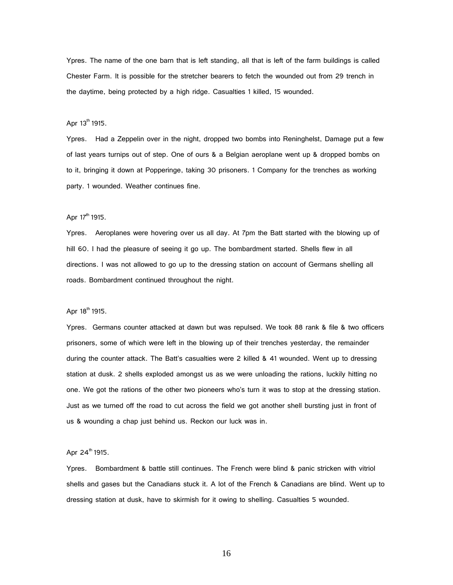Ypres. The name of the one barn that is left standing, all that is left of the farm buildings is called Chester Farm. It is possible for the stretcher bearers to fetch the wounded out from 29 trench in the daytime, being protected by a high ridge. Casualties 1 killed, 15 wounded.

#### Apr  $13^{th}$  1915.

Ypres. Had a Zeppelin over in the night, dropped two bombs into Reninghelst, Damage put a few of last years turnips out of step. One of ours & a Belgian aeroplane went up & dropped bombs on to it, bringing it down at Popperinge, taking 30 prisoners. 1 Company for the trenches as working party. 1 wounded. Weather continues fine.

#### Apr  $17^{th}$  1915.

Ypres. Aeroplanes were hovering over us all day. At 7pm the Batt started with the blowing up of hill 60. I had the pleasure of seeing it go up. The bombardment started. Shells flew in all directions. I was not allowed to go up to the dressing station on account of Germans shelling all roads. Bombardment continued throughout the night.

#### Apr 18<sup>th</sup> 1915.

Ypres. Germans counter attacked at dawn but was repulsed. We took 88 rank & file & two officers prisoners, some of which were left in the blowing up of their trenches yesterday, the remainder during the counter attack. The Batt's casualties were 2 killed & 41 wounded. Went up to dressing station at dusk. 2 shells exploded amongst us as we were unloading the rations, luckily hitting no one. We got the rations of the other two pioneers who's turn it was to stop at the dressing station. Just as we turned off the road to cut across the field we got another shell bursting just in front of us & wounding a chap just behind us. Reckon our luck was in.

#### Apr  $24^{th}$  1915.

Ypres. Bombardment & battle still continues. The French were blind & panic stricken with vitriol shells and gases but the Canadians stuck it. A lot of the French & Canadians are blind. Went up to dressing station at dusk, have to skirmish for it owing to shelling. Casualties 5 wounded.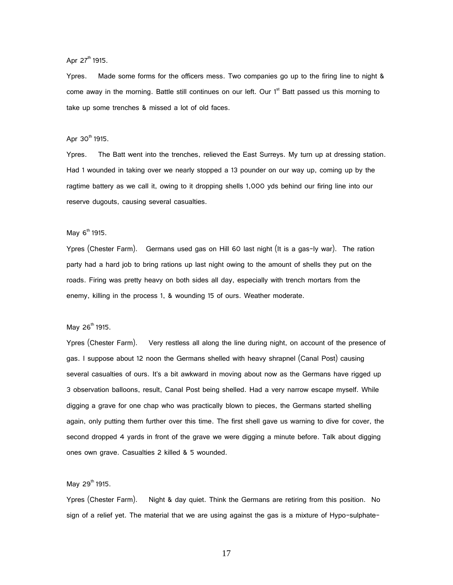Apr 27<sup>th</sup> 1915.

Ypres. Made some forms for the officers mess. Two companies go up to the firing line to night & come away in the morning. Battle still continues on our left. Our  $1<sup>st</sup>$  Batt passed us this morning to take up some trenches & missed a lot of old faces.

#### Apr  $30^{th}$  1915.

Ypres. The Batt went into the trenches, relieved the East Surreys. My turn up at dressing station. Had 1 wounded in taking over we nearly stopped a 13 pounder on our way up, coming up by the ragtime battery as we call it, owing to it dropping shells 1,000 yds behind our firing line into our reserve dugouts, causing several casualties.

#### May  $6^{th}$  1915.

Ypres (Chester Farm). Germans used gas on Hill 60 last night (It is a gas-ly war). The ration party had a hard job to bring rations up last night owing to the amount of shells they put on the roads. Firing was pretty heavy on both sides all day, especially with trench mortars from the enemy, killing in the process 1, & wounding 15 of ours. Weather moderate.

#### May  $26^{th}$  1915.

Ypres (Chester Farm). Very restless all along the line during night, on account of the presence of gas. I suppose about 12 noon the Germans shelled with heavy shrapnel (Canal Post) causing several casualties of ours. It's a bit awkward in moving about now as the Germans have rigged up 3 observation balloons, result, Canal Post being shelled. Had a very narrow escape myself. While digging a grave for one chap who was practically blown to pieces, the Germans started shelling again, only putting them further over this time. The first shell gave us warning to dive for cover, the second dropped 4 yards in front of the grave we were digging a minute before. Talk about digging ones own grave. Casualties 2 killed & 5 wounded.

#### May  $29^{th}$  1915.

Ypres (Chester Farm). Night & day quiet. Think the Germans are retiring from this position. No sign of a relief yet. The material that we are using against the gas is a mixture of Hypo-sulphate-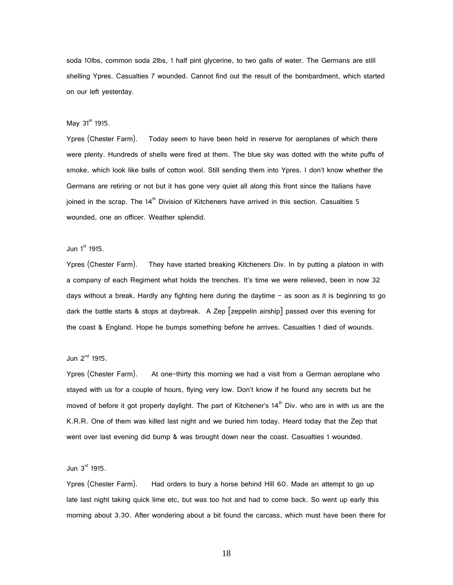soda 10lbs, common soda 2lbs, 1 half pint glycerine, to two galls of water. The Germans are still shelling Ypres. Casualties 7 wounded. Cannot find out the result of the bombardment, which started on our left yesterday.

#### May  $31<sup>st</sup>$  1915.

Ypres (Chester Farm). Today seem to have been held in reserve for aeroplanes of which there were plenty. Hundreds of shells were fired at them. The blue sky was dotted with the white puffs of smoke, which look like balls of cotton wool. Still sending them into Ypres. I don't know whether the Germans are retiring or not but it has gone very quiet all along this front since the Italians have joined in the scrap. The  $14<sup>th</sup>$  Division of Kitcheners have arrived in this section. Casualties 5 wounded, one an officer. Weather splendid.

#### Jun  $1<sup>st</sup>$  1915.

Ypres (Chester Farm). They have started breaking Kitcheners Div. In by putting a platoon in with a company of each Regiment what holds the trenches. It's time we were relieved, been in now 32 days without a break. Hardly any fighting here during the daytime – as soon as it is beginning to go dark the battle starts & stops at daybreak. A Zep [zeppelin airship] passed over this evening for the coast & England. Hope he bumps something before he arrives. Casualties 1 died of wounds.

# Jun  $2^{nd}$  1915.

Ypres (Chester Farm). At one-thirty this morning we had a visit from a German aeroplane who stayed with us for a couple of hours, flying very low. Don't know if he found any secrets but he moved of before it got properly daylight. The part of Kitchener's  $14<sup>th</sup>$  Div. who are in with us are the K.R.R. One of them was killed last night and we buried him today. Heard today that the Zep that went over last evening did bump & was brought down near the coast. Casualties 1 wounded.

#### Jun  $3<sup>rd</sup>$  1915.

Ypres (Chester Farm). Had orders to bury a horse behind Hill 60. Made an attempt to go up late last night taking quick lime etc, but was too hot and had to come back. So went up early this morning about 3.30. After wondering about a bit found the carcass, which must have been there for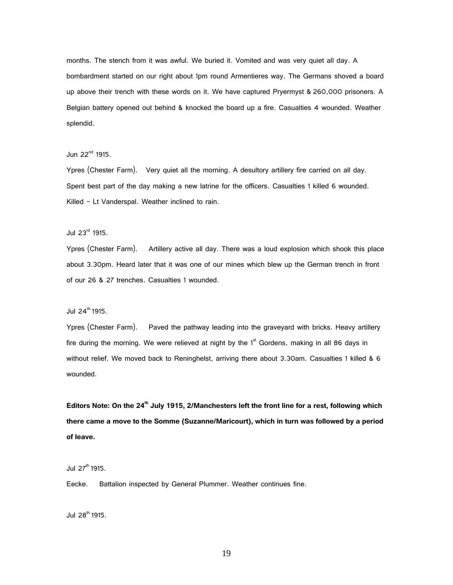months. The stench from it was awful. We buried it. Vomited and was very quiet all day. A bombardment started on our right about 1pm round Armentieres way. The Germans shoved a board up above their trench with these words on it. We have captured Pryermyst & 260,000 prisoners. A Belgian battery opened out behind & knocked the board up a fire. Casualties 4 wounded. Weather splendid.

#### Jun  $22^{nd}$  1915.

Ypres (Chester Farm). Very quiet all the morning. A desultory artillery fire carried on all day. Spent best part of the day making a new latrine for the officers. Casualties 1 killed 6 wounded. Killed - Lt Vanderspal. Weather inclined to rain.

# Jul 23rd 1915.

Ypres (Chester Farm). Artillery active all day. There was a loud explosion which shook this place about 3.30pm. Heard later that it was one of our mines which blew up the German trench in front of our 26 & 27 trenches. Casualties 1 wounded.

#### Jul  $24^{\text{th}}$  1915.

Ypres (Chester Farm). Paved the pathway leading into the graveyard with bricks. Heavy artillery fire during the morning. We were relieved at night by the  $1<sup>st</sup>$  Gordens, making in all 86 days in without relief. We moved back to Reninghelst, arriving there about 3.30am. Casualties 1 killed & 6 wounded.

**Editors Note: On the 24th July 1915, 2/Manchesters left the front line for a rest, following which there came a move to the Somme (Suzanne/Maricourt), which in turn was followed by a period of leave.** 

Jul  $27^{th}$  1915.

Eecke. Battalion inspected by General Plummer. Weather continues fine.

Jul  $28^{th}$  1915.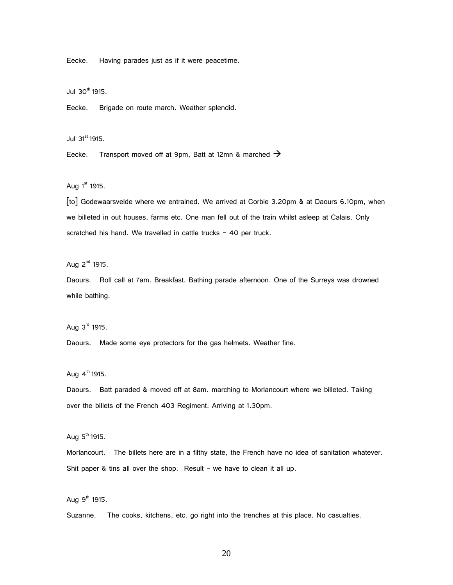Eecke. Having parades just as if it were peacetime.

 $J$ ul 30<sup>th</sup> 1915.

Eecke. Brigade on route march. Weather splendid.

Jul  $31^{\text{st}}$  1915.

Eecke. Transport moved off at 9pm, Batt at 12mn & marched  $\rightarrow$ 

Aug  $1<sup>st</sup>$  1915.

[to] Godewaarsvelde where we entrained. We arrived at Corbie 3.20pm & at Daours 6.10pm, when we billeted in out houses, farms etc. One man fell out of the train whilst asleep at Calais. Only scratched his hand. We travelled in cattle trucks - 40 per truck.

Aug  $2^{nd}$  1915.

Daours. Roll call at 7am. Breakfast. Bathing parade afternoon. One of the Surreys was drowned while bathing.

Aug  $3<sup>rd</sup>$  1915.

Daours. Made some eye protectors for the gas helmets. Weather fine.

Aug  $4^{th}$  1915.

Daours. Batt paraded & moved off at 8am. marching to Morlancourt where we billeted. Taking over the billets of the French 403 Regiment. Arriving at 1.30pm.

Aug  $5<sup>th</sup>$  1915.

Morlancourt. The billets here are in a filthy state, the French have no idea of sanitation whatever. Shit paper & tins all over the shop. Result – we have to clean it all up.

Aug  $9<sup>th</sup>$  1915.

Suzanne. The cooks, kitchens, etc. go right into the trenches at this place. No casualties.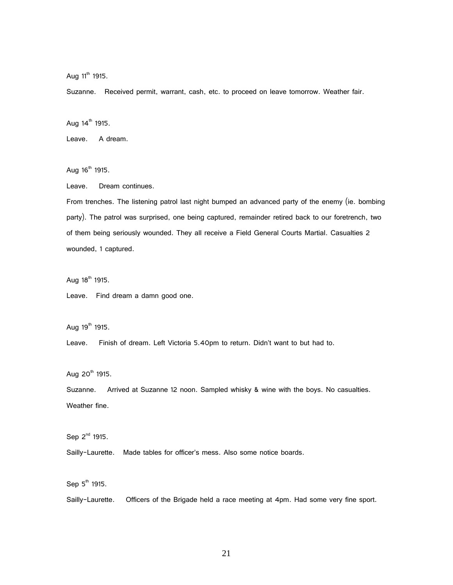Aug  $11^{th}$  1915.

Suzanne. Received permit, warrant, cash, etc. to proceed on leave tomorrow. Weather fair.

Aug  $14^{th}$  1915.

Leave. A dream.

Aug  $16^{th}$  1915.

Leave. Dream continues.

From trenches. The listening patrol last night bumped an advanced party of the enemy (ie. bombing party). The patrol was surprised, one being captured, remainder retired back to our foretrench, two of them being seriously wounded. They all receive a Field General Courts Martial. Casualties 2 wounded, 1 captured.

Aug  $18^{th}$  1915.

Leave. Find dream a damn good one.

Aug  $19^{th}$  1915.

Leave. Finish of dream. Left Victoria 5.40pm to return. Didn't want to but had to.

Aug  $20^{th}$  1915.

Suzanne. Arrived at Suzanne 12 noon. Sampled whisky & wine with the boys. No casualties. Weather fine.

Sep  $2^{nd}$  1915.

Sailly-Laurette. Made tables for officer's mess. Also some notice boards.

Sep  $5<sup>th</sup>$  1915.

Sailly-Laurette. Officers of the Brigade held a race meeting at 4pm. Had some very fine sport.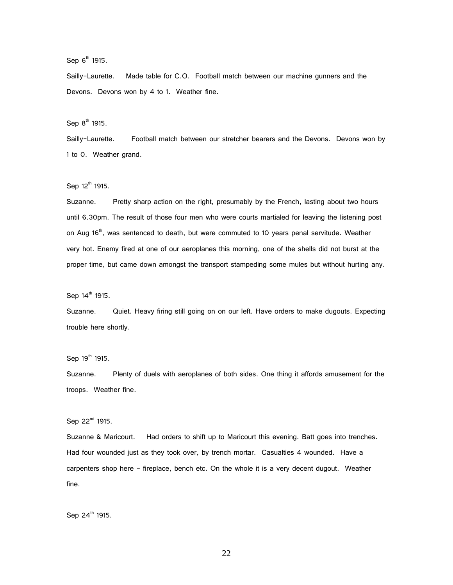Sep  $6<sup>th</sup>$  1915.

Sailly-Laurette. Made table for C.O. Football match between our machine gunners and the Devons. Devons won by 4 to 1. Weather fine.

Sep  $8<sup>th</sup>$  1915.

Sailly-Laurette. Football match between our stretcher bearers and the Devons. Devons won by 1 to 0. Weather grand.

Sep  $12^{th}$  1915.

Suzanne. Pretty sharp action on the right, presumably by the French, lasting about two hours until 6.30pm. The result of those four men who were courts martialed for leaving the listening post on Aug 16<sup>th</sup>, was sentenced to death, but were commuted to 10 years penal servitude. Weather very hot. Enemy fired at one of our aeroplanes this morning, one of the shells did not burst at the proper time, but came down amongst the transport stampeding some mules but without hurting any.

Sep  $14^{\text{th}}$  1915.

Suzanne. Quiet. Heavy firing still going on on our left. Have orders to make dugouts. Expecting trouble here shortly.

Sep  $19^{th}$  1915.

Suzanne. Plenty of duels with aeroplanes of both sides. One thing it affords amusement for the troops. Weather fine.

Sep 22<sup>nd</sup> 1915.

Suzanne & Maricourt. Had orders to shift up to Maricourt this evening. Batt goes into trenches. Had four wounded just as they took over, by trench mortar. Casualties 4 wounded. Have a carpenters shop here – fireplace, bench etc. On the whole it is a very decent dugout. Weather fine.

Sep 24<sup>th</sup> 1915.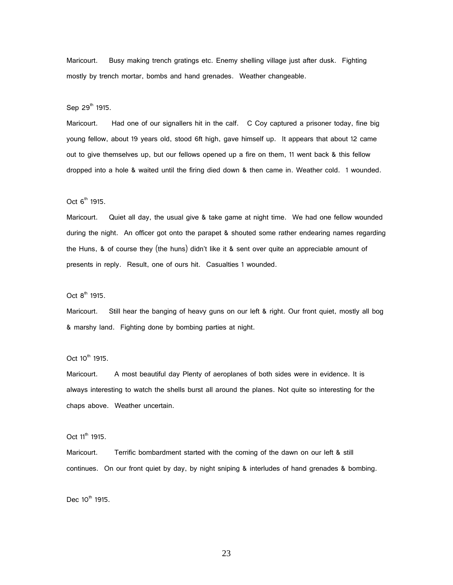Maricourt. Busy making trench gratings etc. Enemy shelling village just after dusk. Fighting mostly by trench mortar, bombs and hand grenades. Weather changeable.

Sep 29<sup>th</sup> 1915.

Maricourt. Had one of our signallers hit in the calf. C Coy captured a prisoner today, fine big young fellow, about 19 years old, stood 6ft high, gave himself up. It appears that about 12 came out to give themselves up, but our fellows opened up a fire on them, 11 went back & this fellow dropped into a hole & waited until the firing died down & then came in. Weather cold. 1 wounded.

Oct  $6<sup>th</sup>$  1915.

Maricourt. Quiet all day, the usual give & take game at night time. We had one fellow wounded during the night. An officer got onto the parapet & shouted some rather endearing names regarding the Huns, & of course they (the huns) didn't like it & sent over quite an appreciable amount of presents in reply. Result, one of ours hit. Casualties 1 wounded.

Oct  $8^{th}$  1915.

Maricourt. Still hear the banging of heavy guns on our left & right. Our front quiet, mostly all bog & marshy land. Fighting done by bombing parties at night.

Oct 10<sup>th</sup> 1915.

Maricourt. A most beautiful day Plenty of aeroplanes of both sides were in evidence. It is always interesting to watch the shells burst all around the planes. Not quite so interesting for the chaps above. Weather uncertain.

Oct  $11^{th}$  1915.

Maricourt. Terrific bombardment started with the coming of the dawn on our left & still continues. On our front quiet by day, by night sniping & interludes of hand grenades & bombing.

Dec  $10^{th}$  1915.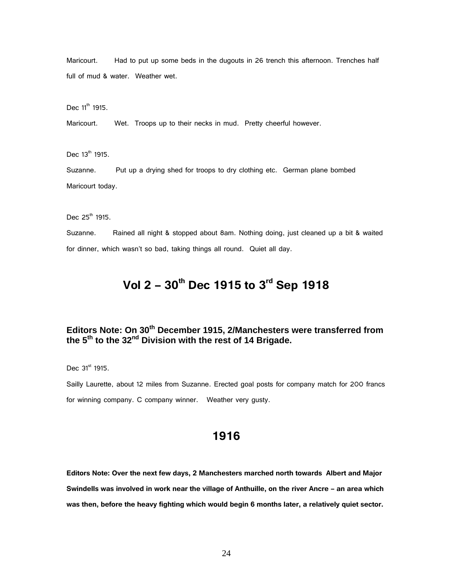Maricourt. Had to put up some beds in the dugouts in 26 trench this afternoon. Trenches half full of mud & water. Weather wet.

Dec  $11^{th}$  1915.

Maricourt. Wet. Troops up to their necks in mud. Pretty cheerful however.

Dec  $13^{th}$  1915.

Suzanne. Put up a drying shed for troops to dry clothing etc. German plane bombed Maricourt today.

Dec  $25^{th}$  1915.

Suzanne. Rained all night & stopped about 8am. Nothing doing, just cleaned up a bit & waited for dinner, which wasn't so bad, taking things all round. Quiet all day.

# **Vol 2 – 30th Dec 1915 to 3rd Sep 1918**

# **Editors Note: On 30th December 1915, 2/Manchesters were transferred from the 5th to the 32nd Division with the rest of 14 Brigade.**

Dec  $31^{\text{st}}$  1915.

Sailly Laurette, about 12 miles from Suzanne. Erected goal posts for company match for 200 francs for winning company. C company winner. Weather very gusty.

# **1916**

**Editors Note: Over the next few days, 2 Manchesters marched north towards Albert and Major Swindells was involved in work near the village of Anthuille, on the river Ancre – an area which was then, before the heavy fighting which would begin 6 months later, a relatively quiet sector.**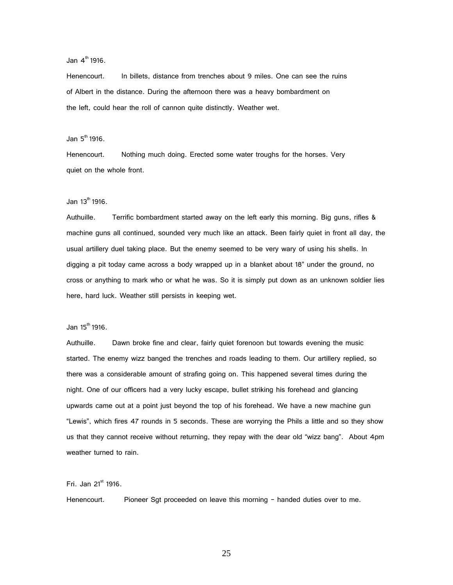Jan  $4^{\text{th}}$  1916.

Henencourt. In billets, distance from trenches about 9 miles. One can see the ruins of Albert in the distance. During the afternoon there was a heavy bombardment on the left, could hear the roll of cannon quite distinctly. Weather wet.

Jan  $5^{\text{th}}$  1916.

Henencourt. Nothing much doing. Erected some water troughs for the horses. Very quiet on the whole front.

Jan 13th 1916.

Authuille. Terrific bombardment started away on the left early this morning. Big guns, rifles & machine guns all continued, sounded very much like an attack. Been fairly quiet in front all day, the usual artillery duel taking place. But the enemy seemed to be very wary of using his shells. In digging a pit today came across a body wrapped up in a blanket about 18" under the ground, no cross or anything to mark who or what he was. So it is simply put down as an unknown soldier lies here, hard luck. Weather still persists in keeping wet.

 $Jan 15<sup>th</sup> 1916.$ 

Authuille. Dawn broke fine and clear, fairly quiet forenoon but towards evening the music started. The enemy wizz banged the trenches and roads leading to them. Our artillery replied, so there was a considerable amount of strafing going on. This happened several times during the night. One of our officers had a very lucky escape, bullet striking his forehead and glancing upwards came out at a point just beyond the top of his forehead. We have a new machine gun "Lewis", which fires 47 rounds in 5 seconds. These are worrying the Phils a little and so they show us that they cannot receive without returning, they repay with the dear old "wizz bang". About 4pm weather turned to rain.

Fri. Jan  $21<sup>st</sup>$  1916.

Henencourt. Pioneer Sgt proceeded on leave this morning – handed duties over to me.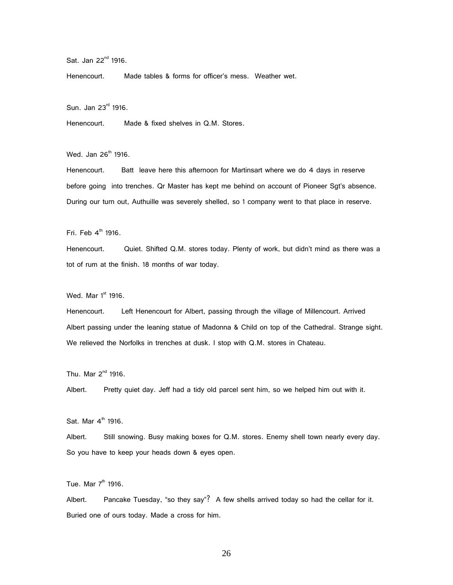Sat. Jan 22<sup>nd</sup> 1916.

Henencourt. Made tables & forms for officer's mess. Weather wet.

Sun. Jan 23rd 1916.

Henencourt. Made & fixed shelves in Q.M. Stores.

Wed. Jan 26<sup>th</sup> 1916.

Henencourt. Batt leave here this afternoon for Martinsart where we do 4 days in reserve before going into trenches. Qr Master has kept me behind on account of Pioneer Sgt's absence. During our turn out, Authuille was severely shelled, so 1 company went to that place in reserve.

Fri. Feb  $4^{\text{th}}$  1916.

Henencourt. Quiet. Shifted Q.M. stores today. Plenty of work, but didn't mind as there was a tot of rum at the finish. 18 months of war today.

Wed. Mar  $1<sup>st</sup>$  1916.

Henencourt. Left Henencourt for Albert, passing through the village of Millencourt. Arrived Albert passing under the leaning statue of Madonna & Child on top of the Cathedral. Strange sight. We relieved the Norfolks in trenches at dusk. I stop with Q.M. stores in Chateau.

Thu. Mar  $2^{nd}$  1916.

Albert. Pretty quiet day. Jeff had a tidy old parcel sent him, so we helped him out with it.

Sat. Mar  $4^{\text{th}}$  1916.

Albert. Still snowing. Busy making boxes for Q.M. stores. Enemy shell town nearly every day. So you have to keep your heads down & eyes open.

Tue. Mar  $7<sup>th</sup>$  1916.

Albert. Pancake Tuesday, "so they say"? A few shells arrived today so had the cellar for it. Buried one of ours today. Made a cross for him.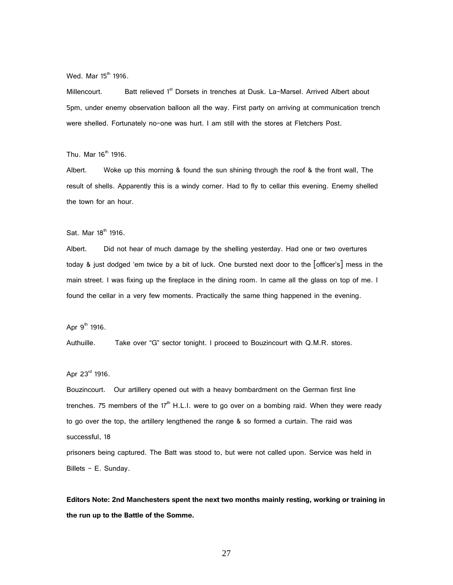Wed. Mar  $15<sup>th</sup>$  1916.

Millencourt. Batt relieved 1<sup>st</sup> Dorsets in trenches at Dusk. La-Marsel. Arrived Albert about 5pm, under enemy observation balloon all the way. First party on arriving at communication trench were shelled. Fortunately no-one was hurt. I am still with the stores at Fletchers Post.

Thu. Mar  $16<sup>th</sup>$  1916.

Albert. Woke up this morning & found the sun shining through the roof & the front wall, The result of shells. Apparently this is a windy corner. Had to fly to cellar this evening. Enemy shelled the town for an hour.

Sat. Mar 18<sup>th</sup> 1916.

Albert. Did not hear of much damage by the shelling yesterday. Had one or two overtures today & just dodged 'em twice by a bit of luck. One bursted next door to the [officer's] mess in the main street. I was fixing up the fireplace in the dining room. In came all the glass on top of me. I found the cellar in a very few moments. Practically the same thing happened in the evening.

Apr  $9^{th}$  1916.

Authuille. Take over "G" sector tonight. I proceed to Bouzincourt with Q.M.R. stores.

Apr 23rd 1916.

Bouzincourt. Our artillery opened out with a heavy bombardment on the German first line trenches. 75 members of the 17<sup>th</sup> H.L.I. were to go over on a bombing raid. When they were ready to go over the top, the artillery lengthened the range & so formed a curtain. The raid was successful, 18

prisoners being captured. The Batt was stood to, but were not called upon. Service was held in Billets - E. Sunday.

**Editors Note: 2nd Manchesters spent the next two months mainly resting, working or training in the run up to the Battle of the Somme.**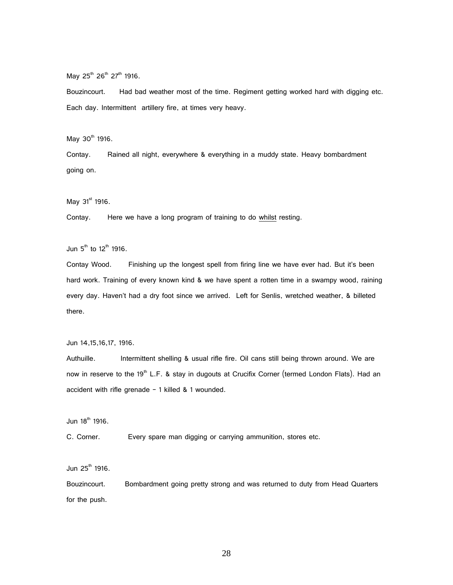May  $25^{th}$   $26^{th}$   $27^{th}$  1916.

Bouzincourt. Had bad weather most of the time. Regiment getting worked hard with digging etc. Each day. Intermittent artillery fire, at times very heavy.

May  $30^{th}$  1916.

Contay. Rained all night, everywhere & everything in a muddy state. Heavy bombardment going on.

May  $31^{\text{st}}$  1916.

Contay. Here we have a long program of training to do whilst resting.

Jun  $5^{th}$  to 12<sup>th</sup> 1916.

Contay Wood. Finishing up the longest spell from firing line we have ever had. But it's been hard work. Training of every known kind & we have spent a rotten time in a swampy wood, raining every day. Haven't had a dry foot since we arrived. Left for Senlis, wretched weather, & billeted there.

Jun 14,15,16,17, 1916.

Authuille. Intermittent shelling & usual rifle fire. Oil cans still being thrown around. We are now in reserve to the 19<sup>th</sup> L.F. & stay in dugouts at Crucifix Corner (termed London Flats). Had an accident with rifle grenade  $-1$  killed & 1 wounded.

Jun  $18^{th}$  1916.

C. Corner. Every spare man digging or carrying ammunition, stores etc.

Jun  $25^{\text{th}}$  1916.

Bouzincourt. Bombardment going pretty strong and was returned to duty from Head Quarters for the push.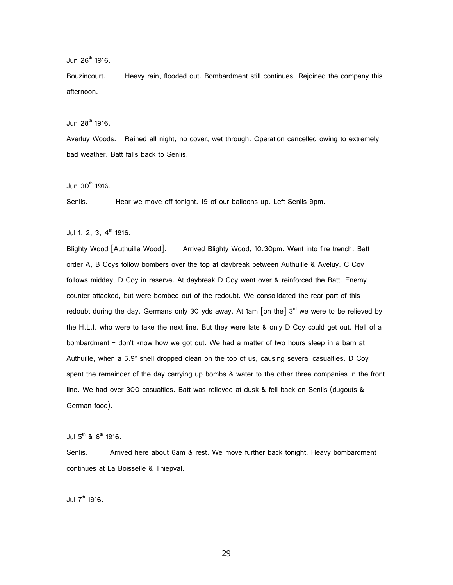Jun  $26^{th}$  1916.

Bouzincourt. Heavy rain, flooded out. Bombardment still continues. Rejoined the company this afternoon.

Jun  $28^{th}$  1916.

Averluy Woods. Rained all night, no cover, wet through. Operation cancelled owing to extremely bad weather. Batt falls back to Senlis.

Jun  $30<sup>th</sup>$  1916.

Senlis. Hear we move off tonight. 19 of our balloons up. Left Senlis 9pm.

Jul 1, 2, 3,  $4^{\text{th}}$  1916.

Blighty Wood [Authuille Wood]. Arrived Blighty Wood, 10.30pm. Went into fire trench. Batt order A, B Coys follow bombers over the top at daybreak between Authuille & Aveluy. C Coy follows midday, D Coy in reserve. At daybreak D Coy went over & reinforced the Batt. Enemy counter attacked, but were bombed out of the redoubt. We consolidated the rear part of this redoubt during the day. Germans only 30 yds away. At 1am  $\lceil$  on the  $\rceil$  3<sup>rd</sup> we were to be relieved by the H.L.I. who were to take the next line. But they were late & only D Coy could get out. Hell of a bombardment – don't know how we got out. We had a matter of two hours sleep in a barn at Authuille, when a 5.9" shell dropped clean on the top of us, causing several casualties. D Coy spent the remainder of the day carrying up bombs & water to the other three companies in the front line. We had over 300 casualties. Batt was relieved at dusk & fell back on Senlis (dugouts & German food).

Jul  $5^{th}$  &  $6^{th}$  1916.

Senlis. Arrived here about 6am & rest. We move further back tonight. Heavy bombardment continues at La Boisselle & Thiepval.

Jul  $7<sup>th</sup>$  1916.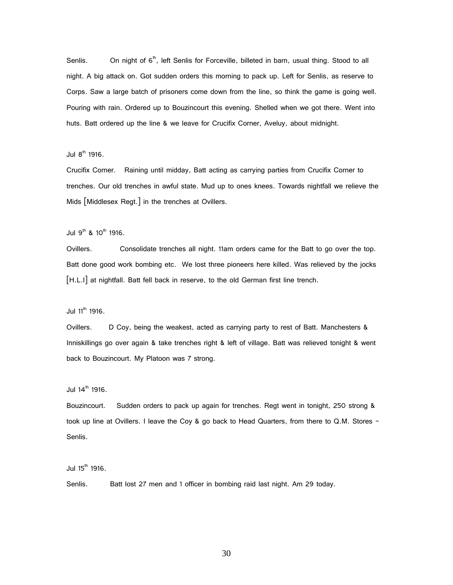Senlis. On night of  $6<sup>th</sup>$ , left Senlis for Forceville, billeted in barn, usual thing. Stood to all night. A big attack on. Got sudden orders this morning to pack up. Left for Senlis, as reserve to Corps. Saw a large batch of prisoners come down from the line, so think the game is going well. Pouring with rain. Ordered up to Bouzincourt this evening. Shelled when we got there. Went into huts. Batt ordered up the line & we leave for Crucifix Corner, Aveluy, about midnight.

#### Jul  $8<sup>th</sup>$  1916.

Crucifix Corner. Raining until midday, Batt acting as carrying parties from Crucifix Corner to trenches. Our old trenches in awful state. Mud up to ones knees. Towards nightfall we relieve the Mids [Middlesex Regt.] in the trenches at Ovillers.

Jul  $9^{th}$  &  $10^{th}$  1916.

Ovillers. Consolidate trenches all night. 11am orders came for the Batt to go over the top. Batt done good work bombing etc. We lost three pioneers here killed. Was relieved by the jocks [H.L.I] at nightfall. Batt fell back in reserve, to the old German first line trench.

Jul  $11^{\text{th}}$  1916.

Ovillers. D Coy, being the weakest, acted as carrying party to rest of Batt. Manchesters & Inniskillings go over again & take trenches right & left of village. Batt was relieved tonight & went back to Bouzincourt. My Platoon was 7 strong.

Jul  $14^{\text{th}}$  1916.

Bouzincourt. Sudden orders to pack up again for trenches. Regt went in tonight, 250 strong & took up line at Ovillers. I leave the Coy & go back to Head Quarters, from there to Q.M. Stores -Senlis.

Jul  $15^{th}$  1916.

Senlis. Batt lost 27 men and 1 officer in bombing raid last night. Am 29 today.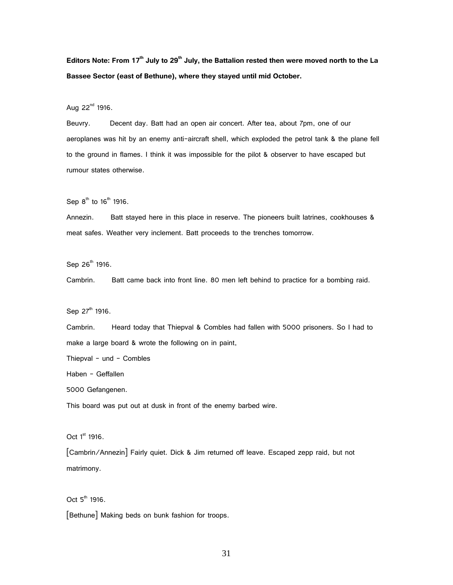**Editors Note: From 17th July to 29th July, the Battalion rested then were moved north to the La Bassee Sector (east of Bethune), where they stayed until mid October.**

Aug  $22^{nd}$  1916.

Beuvry. Decent day. Batt had an open air concert. After tea, about 7pm, one of our aeroplanes was hit by an enemy anti-aircraft shell, which exploded the petrol tank & the plane fell to the ground in flames. I think it was impossible for the pilot & observer to have escaped but rumour states otherwise.

Sep  $8^{th}$  to  $16^{th}$  1916.

Annezin. Batt stayed here in this place in reserve. The pioneers built latrines, cookhouses & meat safes. Weather very inclement. Batt proceeds to the trenches tomorrow.

Sep 26<sup>th</sup> 1916.

Cambrin. Batt came back into front line. 80 men left behind to practice for a bombing raid.

Sep 27<sup>th</sup> 1916.

Cambrin. Heard today that Thiepval & Combles had fallen with 5000 prisoners. So I had to make a large board & wrote the following on in paint,

Thiepval – und – Combles

Haben – Geffallen

5000 Gefangenen.

This board was put out at dusk in front of the enemy barbed wire.

Oct  $1<sup>st</sup>$  1916.

[Cambrin/Annezin] Fairly quiet. Dick & Jim returned off leave. Escaped zepp raid, but not matrimony.

 $Oct 5<sup>th</sup> 1916.$ 

[Bethune] Making beds on bunk fashion for troops.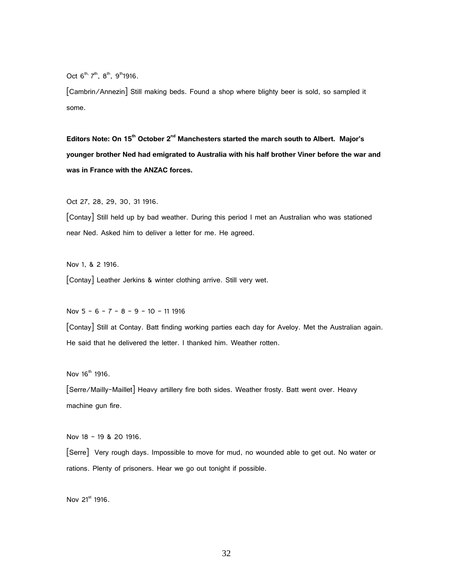Oct  $6^{th}$ ,  $7^{th}$ ,  $8^{th}$ ,  $9^{th}$ 1916.

[Cambrin/Annezin] Still making beds. Found a shop where blighty beer is sold, so sampled it some.

**Editors Note: On 15th October 2nd Manchesters started the march south to Albert. Major's younger brother Ned had emigrated to Australia with his half brother Viner before the war and was in France with the ANZAC forces.**

Oct 27, 28, 29, 30, 31 1916.

[Contay] Still held up by bad weather. During this period I met an Australian who was stationed near Ned. Asked him to deliver a letter for me. He agreed.

Nov 1, & 2 1916. [Contay] Leather Jerkins & winter clothing arrive. Still very wet.

Nov 5 – 6 – 7 – 8 – 9 – 10 – 11 1916

[Contay] Still at Contay. Batt finding working parties each day for Aveloy. Met the Australian again. He said that he delivered the letter. I thanked him. Weather rotten.

Nov  $16^{th}$  1916.

[Serre/Mailly-Maillet] Heavy artillery fire both sides. Weather frosty. Batt went over. Heavy machine gun fire.

Nov 18 – 19 & 20 1916.

[Serre] Very rough days. Impossible to move for mud, no wounded able to get out. No water or rations. Plenty of prisoners. Hear we go out tonight if possible.

Nov 21<sup>st</sup> 1916.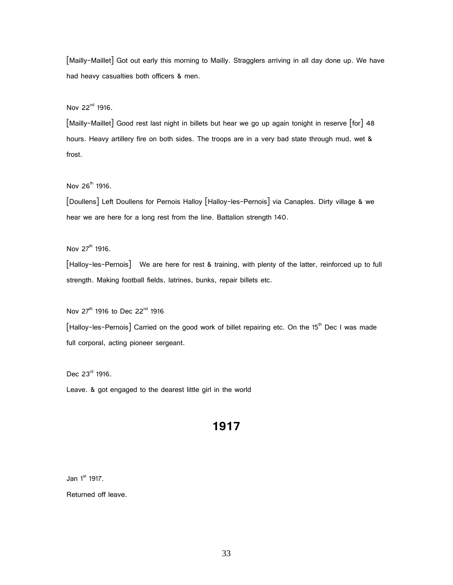[Mailly-Maillet] Got out early this morning to Mailly. Stragglers arriving in all day done up. We have had heavy casualties both officers & men.

Nov 22<sup>nd</sup> 1916.

[Mailly-Maillet] Good rest last night in billets but hear we go up again tonight in reserve [for] 48 hours. Heavy artillery fire on both sides. The troops are in a very bad state through mud, wet & frost.

Nov 26<sup>th</sup> 1916.

[Doullens] Left Doullens for Pernois Halloy [Halloy-les-Pernois] via Canaples. Dirty village & we hear we are here for a long rest from the line. Battalion strength 140.

Nov  $27^{th}$  1916.

[Halloy-les-Pernois] We are here for rest & training, with plenty of the latter, reinforced up to full strength. Making football fields, latrines, bunks, repair billets etc.

Nov 27<sup>th</sup> 1916 to Dec 22<sup>nd</sup> 1916

[Halloy-les-Pernois] Carried on the good work of billet repairing etc. On the 15<sup>th</sup> Dec I was made full corporal, acting pioneer sergeant.

Dec 23rd 1916.

Leave. & got engaged to the dearest little girl in the world

# **1917**

Jan 1<sup>st</sup> 1917.

Returned off leave.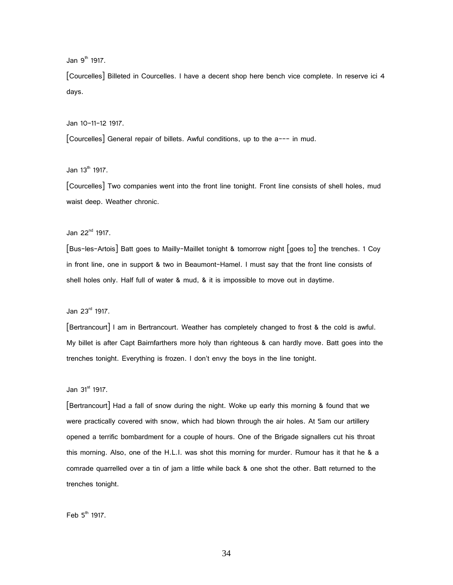Jan  $9<sup>th</sup>$  1917.

[Courcelles] Billeted in Courcelles. I have a decent shop here bench vice complete. In reserve ici 4 days.

Jan 10-11-12 1917.

[Courcelles] General repair of billets. Awful conditions, up to the a--- in mud.

Jan  $13^{th}$  1917.

[Courcelles] Two companies went into the front line tonight. Front line consists of shell holes, mud waist deep. Weather chronic.

Jan 22nd 1917.

[Bus-les-Artois] Batt goes to Mailly-Maillet tonight & tomorrow night [goes to] the trenches. 1 Coy in front line, one in support & two in Beaumont-Hamel. I must say that the front line consists of shell holes only. Half full of water & mud, & it is impossible to move out in daytime.

Jan 23rd 1917.

[Bertrancourt] I am in Bertrancourt. Weather has completely changed to frost & the cold is awful. My billet is after Capt Bairnfarthers more holy than righteous & can hardly move. Batt goes into the trenches tonight. Everything is frozen. I don't envy the boys in the line tonight.

#### Jan  $31<sup>st</sup>$  1917.

[Bertrancourt] Had a fall of snow during the night. Woke up early this morning & found that we were practically covered with snow, which had blown through the air holes. At 5am our artillery opened a terrific bombardment for a couple of hours. One of the Brigade signallers cut his throat this morning. Also, one of the H.L.I. was shot this morning for murder. Rumour has it that he & a comrade quarrelled over a tin of jam a little while back & one shot the other. Batt returned to the trenches tonight.

Feb  $5<sup>th</sup>$  1917.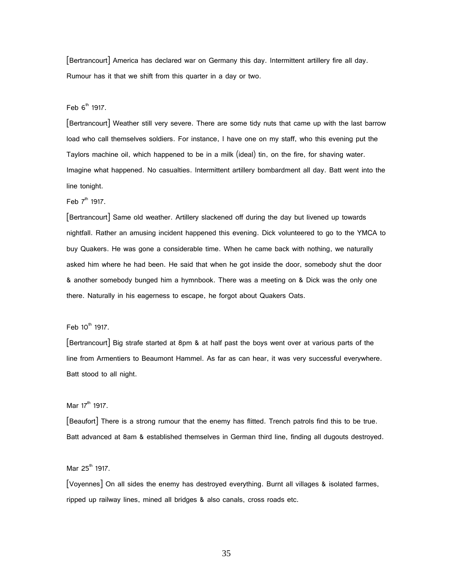[Bertrancourt] America has declared war on Germany this day. Intermittent artillery fire all day. Rumour has it that we shift from this quarter in a day or two.

Feb  $6<sup>th</sup>$  1917.

[Bertrancourt] Weather still very severe. There are some tidy nuts that came up with the last barrow load who call themselves soldiers. For instance, I have one on my staff, who this evening put the Taylors machine oil, which happened to be in a milk (ideal) tin, on the fire, for shaving water. Imagine what happened. No casualties. Intermittent artillery bombardment all day. Batt went into the line tonight.

Feb  $7<sup>th</sup>$  1917.

[Bertrancourt] Same old weather. Artillery slackened off during the day but livened up towards nightfall. Rather an amusing incident happened this evening. Dick volunteered to go to the YMCA to buy Quakers. He was gone a considerable time. When he came back with nothing, we naturally asked him where he had been. He said that when he got inside the door, somebody shut the door & another somebody bunged him a hymnbook. There was a meeting on & Dick was the only one there. Naturally in his eagerness to escape, he forgot about Quakers Oats.

#### Feb  $10^{th}$  1917.

[Bertrancourt] Big strafe started at 8pm & at half past the boys went over at various parts of the line from Armentiers to Beaumont Hammel. As far as can hear, it was very successful everywhere. Batt stood to all night.

Mar  $17^{th}$  1917.

[Beaufort] There is a strong rumour that the enemy has flitted. Trench patrols find this to be true. Batt advanced at 8am & established themselves in German third line, finding all dugouts destroyed.

Mar  $25^{\text{th}}$  1917.

[Voyennes] On all sides the enemy has destroyed everything. Burnt all villages & isolated farmes, ripped up railway lines, mined all bridges & also canals, cross roads etc.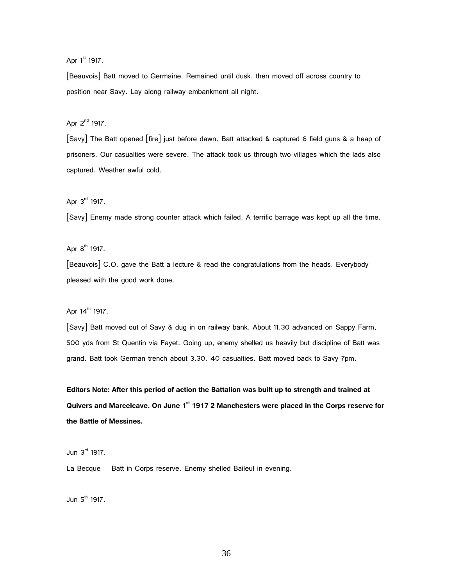Apr 1<sup>st</sup> 1917.

[Beauvois] Batt moved to Germaine. Remained until dusk, then moved off across country to position near Savy. Lay along railway embankment all night.

Apr  $2^{nd}$  1917.

[Savy] The Batt opened [fire] just before dawn. Batt attacked & captured 6 field guns & a heap of prisoners. Our casualties were severe. The attack took us through two villages which the lads also captured. Weather awful cold.

Apr  $3<sup>rd</sup>$  1917.

[Savy] Enemy made strong counter attack which failed. A terrific barrage was kept up all the time.

Apr  $8^{th}$  1917.

[Beauvois] C.O. gave the Batt a lecture & read the congratulations from the heads. Everybody pleased with the good work done.

Apr 14<sup>th</sup> 1917.

[Savy] Batt moved out of Savy & dug in on railway bank. About 11.30 advanced on Sappy Farm, 500 yds from St Quentin via Fayet. Going up, enemy shelled us heavily but discipline of Batt was grand. Batt took German trench about 3.30. 40 casualties. Batt moved back to Savy 7pm.

**Editors Note: After this period of action the Battalion was built up to strength and trained at Quivers and Marcelcave. On June 1 st 1917 2 Manchesters were placed in the Corps reserve for the Battle of Messines.**

Jun  $3<sup>rd</sup>$  1917.

La Becque Batt in Corps reserve. Enemy shelled Baileul in evening.

Jun  $5<sup>th</sup>$  1917.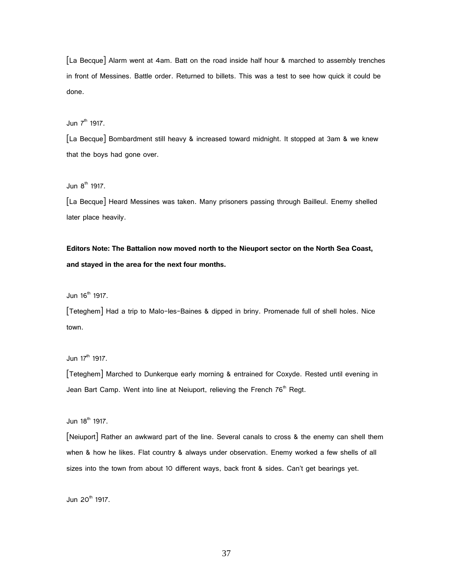[La Becque] Alarm went at 4am. Batt on the road inside half hour & marched to assembly trenches in front of Messines. Battle order. Returned to billets. This was a test to see how quick it could be done.

Jun  $7<sup>th</sup>$  1917.

[La Becque] Bombardment still heavy & increased toward midnight. It stopped at 3am & we knew that the boys had gone over.

Jun  $8^{th}$  1917.

[La Becque] Heard Messines was taken. Many prisoners passing through Bailleul. Enemy shelled later place heavily.

**Editors Note: The Battalion now moved north to the Nieuport sector on the North Sea Coast, and stayed in the area for the next four months.**

Jun  $16^{th}$  1917.

[Teteghem] Had a trip to Malo-les-Baines & dipped in briny. Promenade full of shell holes. Nice town.

Jun 17<sup>th</sup> 1917.

[Teteghem] Marched to Dunkerque early morning & entrained for Coxyde. Rested until evening in Jean Bart Camp. Went into line at Neiuport, relieving the French  $76<sup>th</sup>$  Regt.

Jun  $18^{th}$  1917.

[Neiuport] Rather an awkward part of the line. Several canals to cross & the enemy can shell them when & how he likes. Flat country & always under observation. Enemy worked a few shells of all sizes into the town from about 10 different ways, back front & sides. Can't get bearings yet.

Jun  $20^{th}$  1917.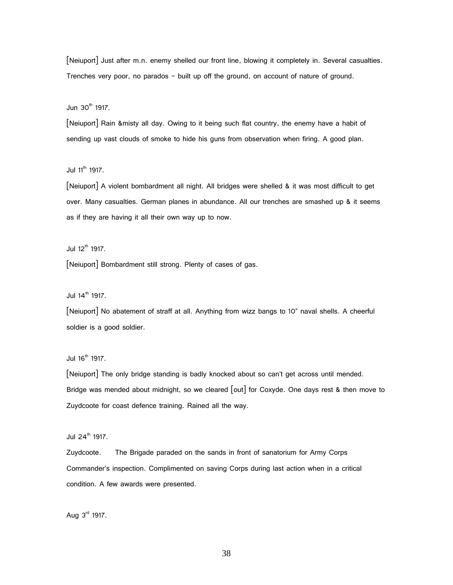[Neiuport] Just after m.n. enemy shelled our front line, blowing it completely in. Several casualties. Trenches very poor, no parados – built up off the ground, on account of nature of ground.

Jun 30<sup>th</sup> 1917.

[Neiuport] Rain &misty all day. Owing to it being such flat country, the enemy have a habit of sending up vast clouds of smoke to hide his guns from observation when firing. A good plan.

Jul  $11^{th}$  1917.

[Neiuport] A violent bombardment all night. All bridges were shelled & it was most difficult to get over. Many casualties. German planes in abundance. All our trenches are smashed up & it seems as if they are having it all their own way up to now.

Jul  $12^{th}$  1917.

[Neiuport] Bombardment still strong. Plenty of cases of gas.

Jul  $14^{\text{th}}$  1917.

[Neiuport] No abatement of straff at all. Anything from wizz bangs to 10" naval shells. A cheerful soldier is a good soldier.

Jul  $16^{th}$  1917.

[Neiuport] The only bridge standing is badly knocked about so can't get across until mended. Bridge was mended about midnight, so we cleared [out] for Coxyde. One days rest & then move to Zuydcoote for coast defence training. Rained all the way.

Jul  $24^{\text{th}}$  1917.

Zuydcoote. The Brigade paraded on the sands in front of sanatorium for Army Corps Commander's inspection. Complimented on saving Corps during last action when in a critical condition. A few awards were presented.

Aug  $3<sup>rd</sup>$  1917.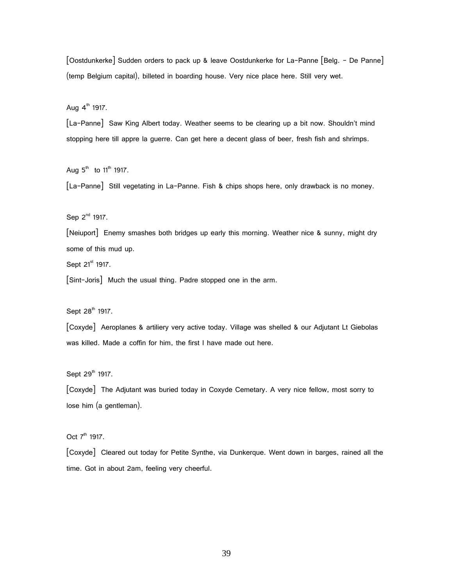[Oostdunkerke] Sudden orders to pack up & leave Oostdunkerke for La-Panne [Belg. – De Panne] (temp Belgium capital), billeted in boarding house. Very nice place here. Still very wet.

Aug  $4^{\text{th}}$  1917.

[La-Panne] Saw King Albert today. Weather seems to be clearing up a bit now. Shouldn't mind stopping here till appre la guerre. Can get here a decent glass of beer, fresh fish and shrimps.

Aug  $5^{\text{th}}$  to 11<sup>th</sup> 1917.

[La-Panne] Still vegetating in La-Panne. Fish & chips shops here, only drawback is no money.

Sep 2<sup>nd</sup> 1917.

[Neiuport] Enemy smashes both bridges up early this morning. Weather nice & sunny, might dry some of this mud up.

Sept 21<sup>st</sup> 1917.

[Sint-Joris] Much the usual thing. Padre stopped one in the arm.

Sept 28<sup>th</sup> 1917.

[Coxyde] Aeroplanes & artiliery very active today. Village was shelled & our Adjutant Lt Giebolas was killed. Made a coffin for him, the first I have made out here.

Sept 29<sup>th</sup> 1917.

[Coxyde] The Adjutant was buried today in Coxyde Cemetary. A very nice fellow, most sorry to lose him (a gentleman).

Oct 7<sup>th</sup> 1917.

[Coxyde] Cleared out today for Petite Synthe, via Dunkerque. Went down in barges, rained all the time. Got in about 2am, feeling very cheerful.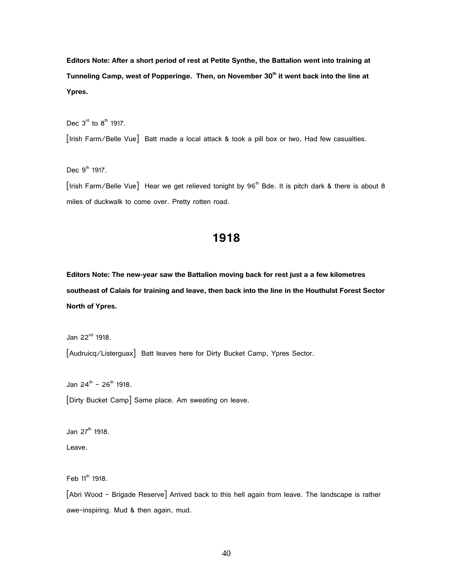**Editors Note: After a short period of rest at Petite Synthe, the Battalion went into training at Tunneling Camp, west of Popperinge. Then, on November 30th it went back into the line at Ypres.**

Dec  $3<sup>rd</sup>$  to  $8<sup>th</sup>$  1917.

[Irish Farm/Belle Vue] Batt made a local attack & took a pill box or two, Had few casualties.

Dec  $9<sup>th</sup>$  1917.

[Irish Farm/Belle Vue] Hear we get relieved tonight by 96<sup>th</sup> Bde. It is pitch dark & there is about 8 miles of duckwalk to come over. Pretty rotten road.

# **1918**

**Editors Note: The new-year saw the Battalion moving back for rest just a a few kilometres southeast of Calais for training and leave, then back into the line in the Houthulst Forest Sector North of Ypres.**

Jan  $22^{nd}$  1918.

[Audruicq/Listerguax] Batt leaves here for Dirty Bucket Camp, Ypres Sector.

Jan 24<sup>th</sup> - 26<sup>th</sup> 1918.

[Dirty Bucket Camp] Same place. Am sweating on leave.

Jan 27<sup>th</sup> 1918. Leave.

Feb  $11^{\text{th}}$  1918.

[Abri Wood – Brigade Reserve] Arrived back to this hell again from leave. The landscape is rather awe-inspiring. Mud & then again, mud.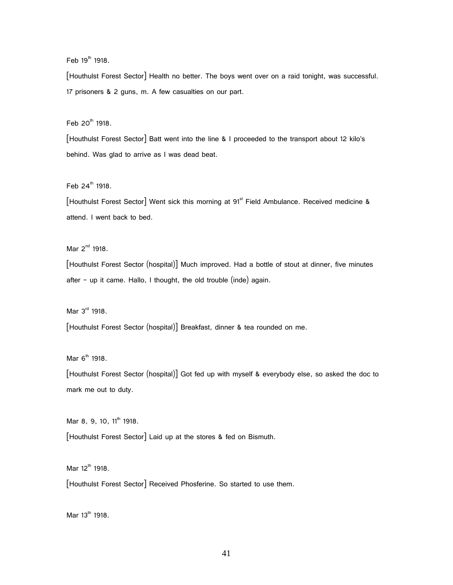Feb  $19^{th}$  1918.

[Houthulst Forest Sector] Health no better. The boys went over on a raid tonight, was successful. 17 prisoners & 2 guns, m. A few casualties on our part.

 $Feb$  20<sup>th</sup> 1918.

[Houthulst Forest Sector] Batt went into the line & I proceeded to the transport about 12 kilo's behind. Was glad to arrive as I was dead beat.

Feb  $24^{th}$  1918.

[Houthulst Forest Sector] Went sick this morning at 91<sup>st</sup> Field Ambulance. Received medicine & attend. I went back to bed.

Mar  $2^{nd}$  1918.

[Houthulst Forest Sector (hospital)] Much improved. Had a bottle of stout at dinner, five minutes after – up it came. Hallo, I thought, the old trouble (inde) again.

Mar  $3<sup>rd</sup>$  1918.

[Houthulst Forest Sector (hospital)] Breakfast, dinner & tea rounded on me.

Mar  $6<sup>th</sup>$  1918.

[Houthulst Forest Sector (hospital)] Got fed up with myself & everybody else, so asked the doc to mark me out to duty.

Mar 8, 9, 10, 11<sup>th</sup> 1918.

[Houthulst Forest Sector] Laid up at the stores & fed on Bismuth.

Mar  $12^{th}$  1918.

[Houthulst Forest Sector] Received Phosferine. So started to use them.

Mar  $13^{th}$  1918.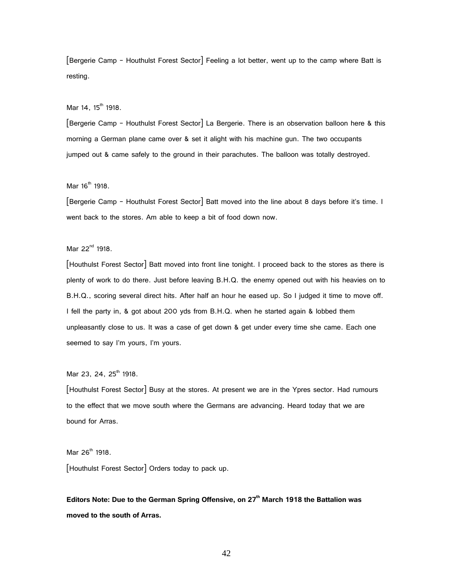[Bergerie Camp - Houthulst Forest Sector] Feeling a lot better, went up to the camp where Batt is resting.

Mar  $14, 15^{th}$  1918.

[Bergerie Camp - Houthulst Forest Sector] La Bergerie. There is an observation balloon here & this morning a German plane came over & set it alight with his machine gun. The two occupants jumped out & came safely to the ground in their parachutes. The balloon was totally destroyed.

 $Mar 16<sup>th</sup> 1918.$ 

[Bergerie Camp - Houthulst Forest Sector] Batt moved into the line about 8 days before it's time. I went back to the stores. Am able to keep a bit of food down now.

Mar  $22^{nd}$  1918.

[Houthulst Forest Sector] Batt moved into front line tonight. I proceed back to the stores as there is plenty of work to do there. Just before leaving B.H.Q. the enemy opened out with his heavies on to B.H.Q., scoring several direct hits. After half an hour he eased up. So I judged it time to move off. I fell the party in, & got about 200 yds from B.H.Q. when he started again & lobbed them unpleasantly close to us. It was a case of get down & get under every time she came. Each one seemed to say I'm yours, I'm yours.

Mar 23, 24, 25<sup>th</sup> 1918.

[Houthulst Forest Sector] Busy at the stores. At present we are in the Ypres sector. Had rumours to the effect that we move south where the Germans are advancing. Heard today that we are bound for Arras.

Mar  $26^{th}$  1918.

[Houthulst Forest Sector] Orders today to pack up.

**Editors Note: Due to the German Spring Offensive, on 27th March 1918 the Battalion was moved to the south of Arras.**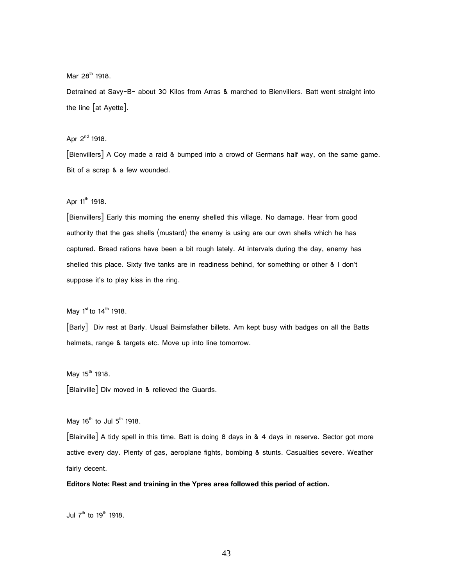Mar  $28^{th}$  1918.

Detrained at Savy-B- about 30 Kilos from Arras & marched to Bienvillers. Batt went straight into the line [at Ayette].

Apr  $2^{nd}$  1918.

[Bienvillers] A Coy made a raid & bumped into a crowd of Germans half way, on the same game. Bit of a scrap & a few wounded.

Apr  $11^{th}$  1918.

[Bienvillers] Early this morning the enemy shelled this village. No damage. Hear from good authority that the gas shells (mustard) the enemy is using are our own shells which he has captured. Bread rations have been a bit rough lately. At intervals during the day, enemy has shelled this place. Sixty five tanks are in readiness behind, for something or other & I don't suppose it's to play kiss in the ring.

May  $1^{\text{st}}$  to  $14^{\text{th}}$  1918.

[Barly] Div rest at Barly. Usual Bairnsfather billets. Am kept busy with badges on all the Batts helmets, range & targets etc. Move up into line tomorrow.

May  $15^{th}$  1918.

[Blairville] Div moved in & relieved the Guards.

May  $16^{th}$  to Jul  $5^{th}$  1918.

[Blairville] A tidy spell in this time. Batt is doing 8 days in & 4 days in reserve. Sector got more active every day. Plenty of gas, aeroplane fights, bombing & stunts. Casualties severe. Weather fairly decent.

**Editors Note: Rest and training in the Ypres area followed this period of action.**

Jul  $7<sup>th</sup>$  to  $19<sup>th</sup>$  1918.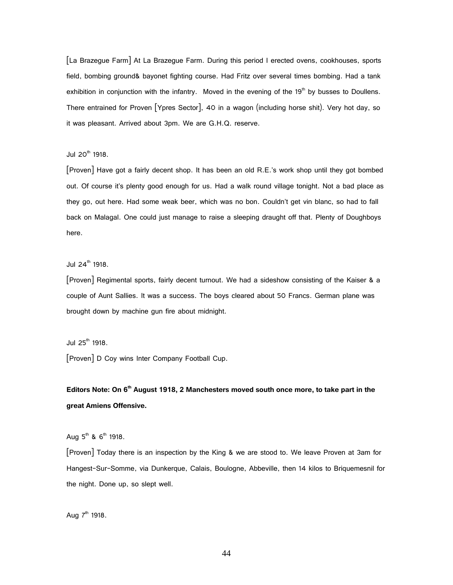[La Brazegue Farm] At La Brazegue Farm. During this period I erected ovens, cookhouses, sports field, bombing ground& bayonet fighting course. Had Fritz over several times bombing. Had a tank exhibition in conjunction with the infantry. Moved in the evening of the  $19<sup>th</sup>$  by busses to Doullens. There entrained for Proven [Ypres Sector], 40 in a wagon (including horse shit). Very hot day, so it was pleasant. Arrived about 3pm. We are G.H.Q. reserve.

Jul  $20^{th}$  1918.

[Proven] Have got a fairly decent shop. It has been an old R.E.'s work shop until they got bombed out. Of course it's plenty good enough for us. Had a walk round village tonight. Not a bad place as they go, out here. Had some weak beer, which was no bon. Couldn't get vin blanc, so had to fall back on Malagal. One could just manage to raise a sleeping draught off that. Plenty of Doughboys here.

Jul  $24^{\text{th}}$  1918.

[Proven] Regimental sports, fairly decent turnout. We had a sideshow consisting of the Kaiser & a couple of Aunt Sallies. It was a success. The boys cleared about 50 Francs. German plane was brought down by machine gun fire about midnight.

Jul  $25^{\text{th}}$  1918.

[Proven] D Coy wins Inter Company Football Cup.

**Editors Note: On 6th August 1918, 2 Manchesters moved south once more, to take part in the great Amiens Offensive.**

Aug  $5^{th}$  &  $6^{th}$  1918.

[Proven] Today there is an inspection by the King & we are stood to. We leave Proven at 3am for Hangest-Sur-Somme, via Dunkerque, Calais, Boulogne, Abbeville, then 14 kilos to Briquemesnil for the night. Done up, so slept well.

Aug  $7^{th}$  1918.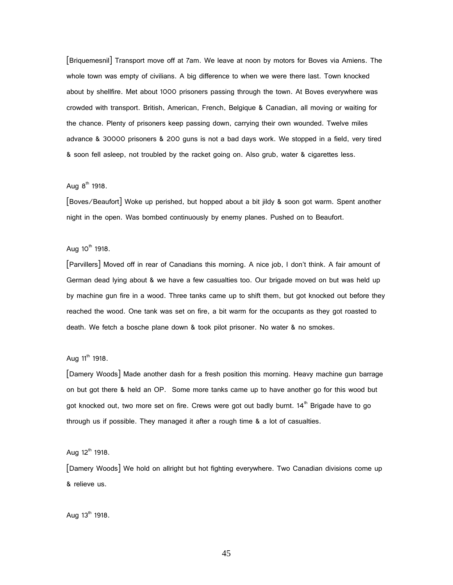[Briquemesnil] Transport move off at 7am. We leave at noon by motors for Boves via Amiens. The whole town was empty of civilians. A big difference to when we were there last. Town knocked about by shellfire. Met about 1000 prisoners passing through the town. At Boves everywhere was crowded with transport. British, American, French, Belgique & Canadian, all moving or waiting for the chance. Plenty of prisoners keep passing down, carrying their own wounded. Twelve miles advance & 30000 prisoners & 200 guns is not a bad days work. We stopped in a field, very tired & soon fell asleep, not troubled by the racket going on. Also grub, water & cigarettes less.

### Aug  $8^{th}$  1918.

[Boves/Beaufort] Woke up perished, but hopped about a bit jildy & soon got warm. Spent another night in the open. Was bombed continuously by enemy planes. Pushed on to Beaufort.

#### Aug  $10^{th}$  1918.

[Parvillers] Moved off in rear of Canadians this morning. A nice job, I don't think. A fair amount of German dead lying about & we have a few casualties too. Our brigade moved on but was held up by machine gun fire in a wood. Three tanks came up to shift them, but got knocked out before they reached the wood. One tank was set on fire, a bit warm for the occupants as they got roasted to death. We fetch a bosche plane down & took pilot prisoner. No water & no smokes.

#### Aug  $11^{th}$  1918.

[Damery Woods] Made another dash for a fresh position this morning. Heavy machine gun barrage on but got there & held an OP. Some more tanks came up to have another go for this wood but got knocked out, two more set on fire. Crews were got out badly burnt.  $14<sup>th</sup>$  Brigade have to go through us if possible. They managed it after a rough time & a lot of casualties.

#### Aug  $12^{th}$  1918.

[Damery Woods] We hold on allright but hot fighting everywhere. Two Canadian divisions come up & relieve us.

Aug  $13^{th}$  1918.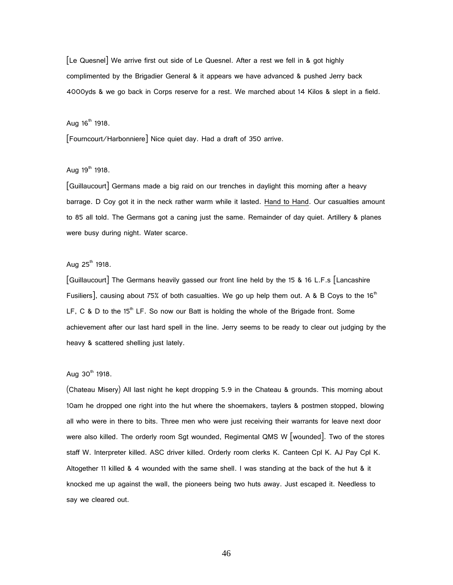[Le Quesnel] We arrive first out side of Le Quesnel. After a rest we fell in & got highly complimented by the Brigadier General & it appears we have advanced & pushed Jerry back 4000yds & we go back in Corps reserve for a rest. We marched about 14 Kilos & slept in a field.

# Aug  $16^{th}$  1918.

[Fourncourt/Harbonniere] Nice quiet day. Had a draft of 350 arrive.

### Aug  $19^{th}$  1918.

[Guillaucourt] Germans made a big raid on our trenches in daylight this morning after a heavy barrage. D Coy got it in the neck rather warm while it lasted. Hand to Hand. Our casualties amount to 85 all told. The Germans got a caning just the same. Remainder of day quiet. Artillery & planes were busy during night. Water scarce.

#### Aug  $25^{th}$  1918.

[Guillaucourt] The Germans heavily gassed our front line held by the 15 & 16 L.F.s [Lancashire Fusiliers], causing about 75% of both casualties. We go up help them out. A & B Coys to the 16<sup>th</sup> LF, C & D to the 15<sup>th</sup> LF. So now our Batt is holding the whole of the Brigade front. Some achievement after our last hard spell in the line. Jerry seems to be ready to clear out judging by the heavy & scattered shelling just lately.

## Aug  $30^{th}$  1918.

(Chateau Misery) All last night he kept dropping 5.9 in the Chateau & grounds. This morning about 10am he dropped one right into the hut where the shoemakers, taylers & postmen stopped, blowing all who were in there to bits. Three men who were just receiving their warrants for leave next door were also killed. The orderly room Sgt wounded, Regimental QMS W [wounded]. Two of the stores staff W. Interpreter killed. ASC driver killed. Orderly room clerks K. Canteen Cpl K. AJ Pay Cpl K. Altogether 11 killed & 4 wounded with the same shell. I was standing at the back of the hut & it knocked me up against the wall, the pioneers being two huts away. Just escaped it. Needless to say we cleared out.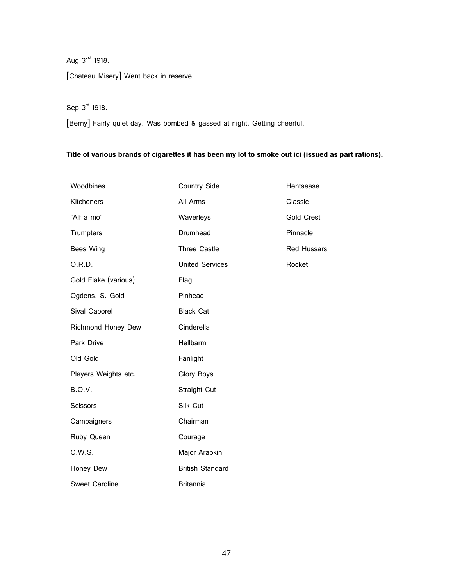# Aug  $31^{st}$  1918.

[Chateau Misery] Went back in reserve.

# Sep 3rd 1918.

[Berny] Fairly quiet day. Was bombed & gassed at night. Getting cheerful.

### **Title of various brands of cigarettes it has been my lot to smoke out ici (issued as part rations).**

| Woodbines             | <b>Country Side</b>     | Hentsease          |
|-----------------------|-------------------------|--------------------|
| Kitcheners            | All Arms                | Classic            |
| "Alf a mo"            | Waverleys               | <b>Gold Crest</b>  |
| <b>Trumpters</b>      | Drumhead                | Pinnacle           |
| Bees Wing             | <b>Three Castle</b>     | <b>Red Hussars</b> |
| O.R.D.                | <b>United Services</b>  | Rocket             |
| Gold Flake (various)  | Flag                    |                    |
| Ogdens. S. Gold       | Pinhead                 |                    |
| Sival Caporel         | <b>Black Cat</b>        |                    |
| Richmond Honey Dew    | Cinderella              |                    |
| Park Drive            | Hellbarm                |                    |
| Old Gold              | Fanlight                |                    |
| Players Weights etc.  | <b>Glory Boys</b>       |                    |
| <b>B.O.V.</b>         | Straight Cut            |                    |
| <b>Scissors</b>       | Silk Cut                |                    |
| Campaigners           | Chairman                |                    |
| Ruby Queen            | Courage                 |                    |
| C.W.S.                | Major Arapkin           |                    |
| Honey Dew             | <b>British Standard</b> |                    |
| <b>Sweet Caroline</b> | <b>Britannia</b>        |                    |